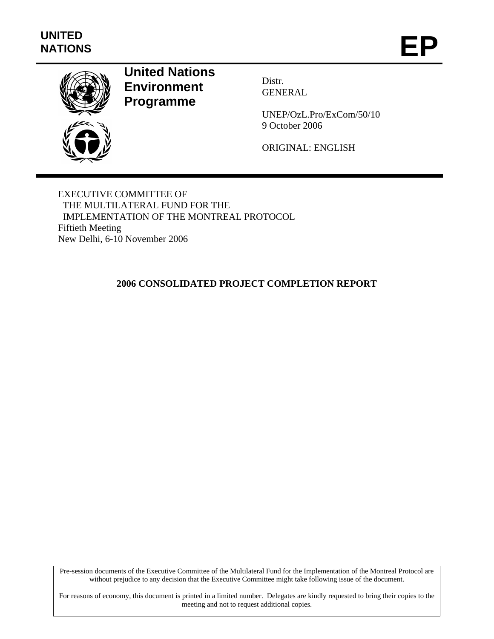

# **United Nations Environment Programme**

Distr. GENERAL

UNEP/OzL.Pro/ExCom/50/10 9 October 2006

ORIGINAL: ENGLISH

EXECUTIVE COMMITTEE OF THE MULTILATERAL FUND FOR THE IMPLEMENTATION OF THE MONTREAL PROTOCOL Fiftieth Meeting New Delhi, 6-10 November 2006

## **2006 CONSOLIDATED PROJECT COMPLETION REPORT**

Pre-session documents of the Executive Committee of the Multilateral Fund for the Implementation of the Montreal Protocol are without prejudice to any decision that the Executive Committee might take following issue of the document.

For reasons of economy, this document is printed in a limited number. Delegates are kindly requested to bring their copies to the meeting and not to request additional copies.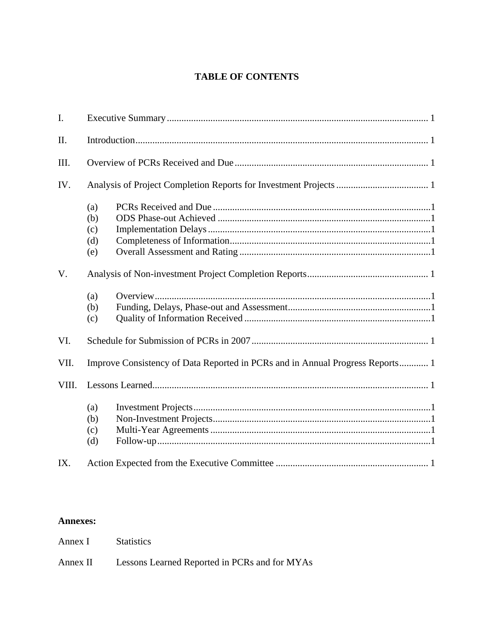### **TABLE OF CONTENTS**

| $\mathbf{I}$ . |                                                                               |  |  |  |  |  |  |
|----------------|-------------------------------------------------------------------------------|--|--|--|--|--|--|
| II.            |                                                                               |  |  |  |  |  |  |
| III.           |                                                                               |  |  |  |  |  |  |
| IV.            |                                                                               |  |  |  |  |  |  |
|                | (a)<br>(b)<br>(c)<br>(d)<br>(e)                                               |  |  |  |  |  |  |
| V.             |                                                                               |  |  |  |  |  |  |
|                | (a)<br>(b)<br>(c)                                                             |  |  |  |  |  |  |
| VI.            |                                                                               |  |  |  |  |  |  |
| VII.           | Improve Consistency of Data Reported in PCRs and in Annual Progress Reports 1 |  |  |  |  |  |  |
| VIII.          |                                                                               |  |  |  |  |  |  |
|                | (a)<br>(b)<br>(c)<br>(d)                                                      |  |  |  |  |  |  |
| IX.            |                                                                               |  |  |  |  |  |  |

#### **Annexes:**

Annex I Statistics

Annex II Lessons Learned Reported in PCRs and for MYAs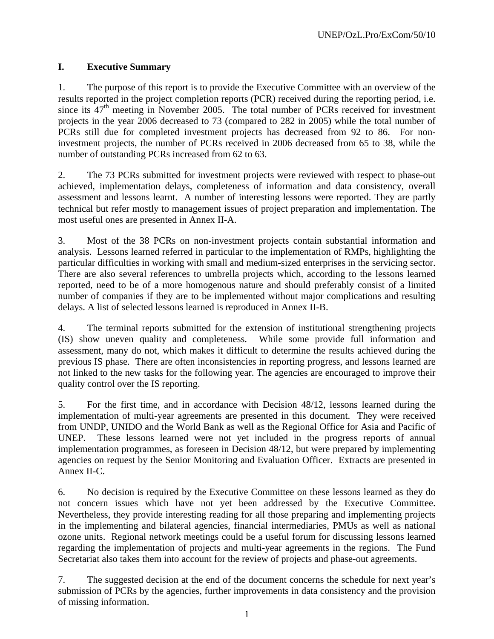### **I. Executive Summary**

1. The purpose of this report is to provide the Executive Committee with an overview of the results reported in the project completion reports (PCR) received during the reporting period, i.e. since its  $47<sup>th</sup>$  meeting in November 2005. The total number of PCRs received for investment projects in the year 2006 decreased to 73 (compared to 282 in 2005) while the total number of PCRs still due for completed investment projects has decreased from 92 to 86. For noninvestment projects, the number of PCRs received in 2006 decreased from 65 to 38, while the number of outstanding PCRs increased from 62 to 63.

2. The 73 PCRs submitted for investment projects were reviewed with respect to phase-out achieved, implementation delays, completeness of information and data consistency, overall assessment and lessons learnt. A number of interesting lessons were reported. They are partly technical but refer mostly to management issues of project preparation and implementation. The most useful ones are presented in Annex II-A.

3. Most of the 38 PCRs on non-investment projects contain substantial information and analysis. Lessons learned referred in particular to the implementation of RMPs, highlighting the particular difficulties in working with small and medium-sized enterprises in the servicing sector. There are also several references to umbrella projects which, according to the lessons learned reported, need to be of a more homogenous nature and should preferably consist of a limited number of companies if they are to be implemented without major complications and resulting delays. A list of selected lessons learned is reproduced in Annex II-B.

4. The terminal reports submitted for the extension of institutional strengthening projects (IS) show uneven quality and completeness. While some provide full information and assessment, many do not, which makes it difficult to determine the results achieved during the previous IS phase. There are often inconsistencies in reporting progress, and lessons learned are not linked to the new tasks for the following year. The agencies are encouraged to improve their quality control over the IS reporting.

5. For the first time, and in accordance with Decision 48/12, lessons learned during the implementation of multi-year agreements are presented in this document. They were received from UNDP, UNIDO and the World Bank as well as the Regional Office for Asia and Pacific of UNEP. These lessons learned were not yet included in the progress reports of annual implementation programmes, as foreseen in Decision 48/12, but were prepared by implementing agencies on request by the Senior Monitoring and Evaluation Officer. Extracts are presented in Annex II-C.

6. No decision is required by the Executive Committee on these lessons learned as they do not concern issues which have not yet been addressed by the Executive Committee. Nevertheless, they provide interesting reading for all those preparing and implementing projects in the implementing and bilateral agencies, financial intermediaries, PMUs as well as national ozone units. Regional network meetings could be a useful forum for discussing lessons learned regarding the implementation of projects and multi-year agreements in the regions. The Fund Secretariat also takes them into account for the review of projects and phase-out agreements.

7. The suggested decision at the end of the document concerns the schedule for next year's submission of PCRs by the agencies, further improvements in data consistency and the provision of missing information.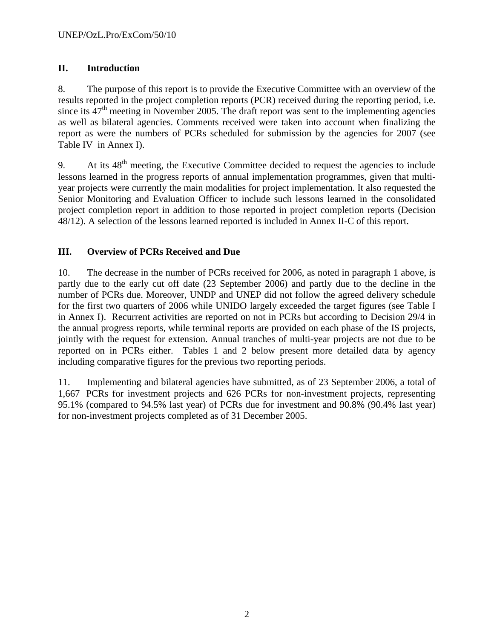### **II. Introduction**

8. The purpose of this report is to provide the Executive Committee with an overview of the results reported in the project completion reports (PCR) received during the reporting period, i.e. since its  $47<sup>th</sup>$  meeting in November 2005. The draft report was sent to the implementing agencies as well as bilateral agencies. Comments received were taken into account when finalizing the report as were the numbers of PCRs scheduled for submission by the agencies for 2007 (see Table IV in Annex I).

9. At its  $48<sup>th</sup>$  meeting, the Executive Committee decided to request the agencies to include lessons learned in the progress reports of annual implementation programmes, given that multiyear projects were currently the main modalities for project implementation. It also requested the Senior Monitoring and Evaluation Officer to include such lessons learned in the consolidated project completion report in addition to those reported in project completion reports (Decision 48/12). A selection of the lessons learned reported is included in Annex II-C of this report.

### **III. Overview of PCRs Received and Due**

10. The decrease in the number of PCRs received for 2006, as noted in paragraph 1 above, is partly due to the early cut off date (23 September 2006) and partly due to the decline in the number of PCRs due. Moreover, UNDP and UNEP did not follow the agreed delivery schedule for the first two quarters of 2006 while UNIDO largely exceeded the target figures (see Table I in Annex I). Recurrent activities are reported on not in PCRs but according to Decision 29/4 in the annual progress reports, while terminal reports are provided on each phase of the IS projects, jointly with the request for extension. Annual tranches of multi-year projects are not due to be reported on in PCRs either. Tables 1 and 2 below present more detailed data by agency including comparative figures for the previous two reporting periods.

11. Implementing and bilateral agencies have submitted, as of 23 September 2006, a total of 1,667 PCRs for investment projects and 626 PCRs for non-investment projects, representing 95.1% (compared to 94.5% last year) of PCRs due for investment and 90.8% (90.4% last year) for non-investment projects completed as of 31 December 2005.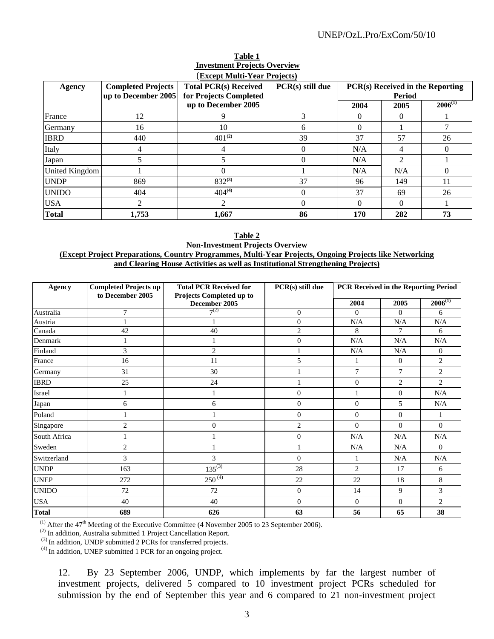#### UNEP/OzL.Pro/ExCom/50/10

|                |                                                  | (Except Multi-Year Projects)                           |                  |          |                                            |              |  |
|----------------|--------------------------------------------------|--------------------------------------------------------|------------------|----------|--------------------------------------------|--------------|--|
| Agency         | <b>Completed Projects</b><br>up to December 2005 | <b>Total PCR(s) Received</b><br>for Projects Completed | PCR(s) still due |          | PCR(s) Received in the Reporting<br>Period |              |  |
|                |                                                  | up to December 2005                                    |                  | 2004     | 2005                                       | $2006^{(1)}$ |  |
| France         | 12                                               |                                                        |                  |          | 0                                          |              |  |
| Germany        | 16                                               | 10                                                     | h                |          |                                            |              |  |
| <b>IBRD</b>    | 440                                              | $401^{(2)}$                                            | 39               | 37       | 57                                         | 26           |  |
| Italy          | 4                                                |                                                        | 0                | N/A      |                                            | $\Omega$     |  |
| Japan          | 5                                                |                                                        | 0                | N/A      | $\mathfrak{D}$                             |              |  |
| United Kingdom |                                                  | $\Omega$                                               |                  | N/A      | N/A                                        | $\Omega$     |  |
| <b>UNDP</b>    | 869                                              | $832^{(3)}$                                            | 37               | 96       | 149                                        | 11           |  |
| <b>UNIDO</b>   | 404                                              | $404^{(4)}$                                            | 0                | 37       | 69                                         | 26           |  |
| <b>USA</b>     | $\overline{c}$                                   | 2                                                      | 0                | $\Omega$ | 0                                          |              |  |
| <b>Total</b>   | 1,753                                            | 1,667                                                  | 86               | 170      | 282                                        | 73           |  |

# **Table 1 Investment Projects Overview**

#### **Table 2 Non-Investment Projects Overview (Except Project Preparations, Country Programmes, Multi-Year Projects, Ongoing Projects like Networking and Clearing House Activities as well as Institutional Strengthening Projects)**

| Agency       | <b>Completed Projects up</b><br>to December 2005 | <b>Total PCR Received for</b><br>Projects Completed up to | PCR(s) still due                    | PCR Received in the Reporting Period |                |                |
|--------------|--------------------------------------------------|-----------------------------------------------------------|-------------------------------------|--------------------------------------|----------------|----------------|
|              |                                                  | December 2005                                             |                                     | 2004                                 | 2005           | $2006^{(1)}$   |
| Australia    | $\overline{7}$                                   | $7^{(2)}$                                                 | $\theta$                            | $\overline{0}$                       | $\overline{0}$ | 6              |
| Austria      | $\mathbf{1}$                                     |                                                           | $\overline{0}$                      | N/A                                  | N/A            | N/A            |
| Canada       | 42                                               | 40                                                        | $\overline{2}$                      | 8                                    | 7              | 6              |
| Denmark      |                                                  |                                                           | $\overline{0}$                      | N/A                                  | N/A            | N/A            |
| Finland      | 3                                                | $\mathbf{2}$                                              | 1                                   | N/A                                  | N/A            | $\overline{0}$ |
| France       | 16                                               | 11                                                        | 5                                   | 1                                    | $\mathbf{0}$   | $\overline{2}$ |
| Germany      | 31                                               | 30                                                        | $\mathbf{1}$                        | $\overline{7}$<br>7                  |                | $\overline{2}$ |
| <b>IBRD</b>  | 25                                               | 24                                                        | $\mathbf{1}$                        | $\overline{0}$<br>$\overline{2}$     |                | $\overline{2}$ |
| Israel       | 1                                                |                                                           | $\mathbf{0}$                        | $\mathbf{1}$                         | $\overline{0}$ |                |
| Japan        | 6                                                | 6                                                         | $\overline{0}$                      | $\mathbf{0}$                         | 5              | N/A            |
| Poland       | 1                                                | 1                                                         | $\overline{0}$                      | $\overline{0}$                       | $\overline{0}$ | 1              |
| Singapore    | $\mathbf{2}$                                     | $\mathbf{0}$                                              | $\overline{2}$                      | $\mathbf{0}$                         | $\overline{0}$ | $\overline{0}$ |
| South Africa |                                                  |                                                           | $\overline{0}$                      | N/A                                  | N/A            | N/A            |
| Sweden       | $\mathbf{2}$                                     |                                                           | $\mathbf{1}$                        | N/A                                  | N/A            | $\overline{0}$ |
| Switzerland  | 3                                                | 3                                                         | $\mathbf{0}$                        | 1                                    | N/A            | N/A            |
| <b>UNDP</b>  | 163                                              |                                                           | $135^{(3)}$<br>28<br>$\overline{2}$ |                                      | 17             | 6              |
| <b>UNEP</b>  | 272                                              | $250^{(4)}$<br>22<br>22                                   |                                     | 18                                   | 8              |                |
| <b>UNIDO</b> | 72                                               | 72                                                        | $\boldsymbol{0}$                    | 14                                   | 9              | 3              |
| <b>USA</b>   | 40                                               | 40                                                        | $\theta$                            | $\mathbf{0}$                         | $\overline{0}$ | $\overline{2}$ |
| <b>Total</b> | 689                                              | 626                                                       | 63                                  | 56<br>38<br>65                       |                |                |

<sup>(1)</sup> After the 47<sup>th</sup> Meeting of the Executive Committee (4 November 2005 to 23 September 2006).

 $^{(2)}$  In addition, Australia submitted 1 Project Cancellation Report.

 $(3)$  In addition, UNDP submitted 2 PCRs for transferred projects.  $(4)$  In addition, UNEP submitted 1 PCR for an ongoing project.

12. By 23 September 2006, UNDP, which implements by far the largest number of investment projects, delivered 5 compared to 10 investment project PCRs scheduled for submission by the end of September this year and 6 compared to 21 non-investment project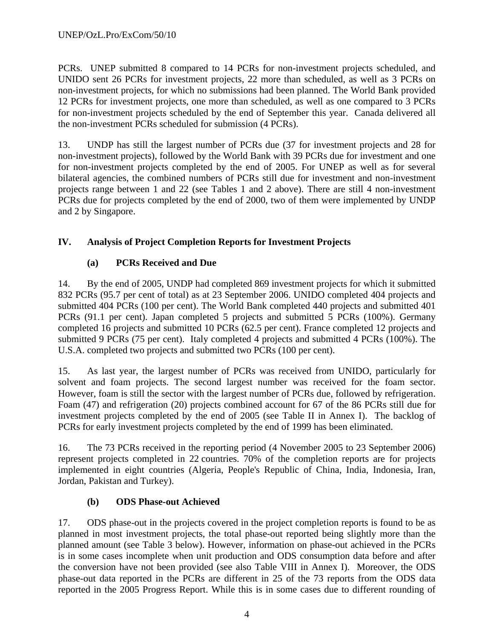PCRs. UNEP submitted 8 compared to 14 PCRs for non-investment projects scheduled, and UNIDO sent 26 PCRs for investment projects, 22 more than scheduled, as well as 3 PCRs on non-investment projects, for which no submissions had been planned. The World Bank provided 12 PCRs for investment projects, one more than scheduled, as well as one compared to 3 PCRs for non-investment projects scheduled by the end of September this year. Canada delivered all the non-investment PCRs scheduled for submission (4 PCRs).

13. UNDP has still the largest number of PCRs due (37 for investment projects and 28 for non-investment projects), followed by the World Bank with 39 PCRs due for investment and one for non-investment projects completed by the end of 2005. For UNEP as well as for several bilateral agencies, the combined numbers of PCRs still due for investment and non-investment projects range between 1 and 22 (see Tables 1 and 2 above). There are still 4 non-investment PCRs due for projects completed by the end of 2000, two of them were implemented by UNDP and 2 by Singapore.

### **IV. Analysis of Project Completion Reports for Investment Projects**

### **(a) PCRs Received and Due**

14. By the end of 2005, UNDP had completed 869 investment projects for which it submitted 832 PCRs (95.7 per cent of total) as at 23 September 2006. UNIDO completed 404 projects and submitted 404 PCRs (100 per cent). The World Bank completed 440 projects and submitted 401 PCRs (91.1 per cent). Japan completed 5 projects and submitted 5 PCRs (100%). Germany completed 16 projects and submitted 10 PCRs (62.5 per cent). France completed 12 projects and submitted 9 PCRs (75 per cent). Italy completed 4 projects and submitted 4 PCRs (100%). The U.S.A. completed two projects and submitted two PCRs (100 per cent).

15. As last year, the largest number of PCRs was received from UNIDO, particularly for solvent and foam projects. The second largest number was received for the foam sector. However, foam is still the sector with the largest number of PCRs due, followed by refrigeration. Foam (47) and refrigeration (20) projects combined account for 67 of the 86 PCRs still due for investment projects completed by the end of 2005 (see Table II in Annex I). The backlog of PCRs for early investment projects completed by the end of 1999 has been eliminated.

16. The 73 PCRs received in the reporting period (4 November 2005 to 23 September 2006) represent projects completed in 22 countries. 70% of the completion reports are for projects implemented in eight countries (Algeria, People's Republic of China, India, Indonesia, Iran, Jordan, Pakistan and Turkey).

### **(b) ODS Phase-out Achieved**

17. ODS phase-out in the projects covered in the project completion reports is found to be as planned in most investment projects, the total phase-out reported being slightly more than the planned amount (see Table 3 below). However, information on phase-out achieved in the PCRs is in some cases incomplete when unit production and ODS consumption data before and after the conversion have not been provided (see also Table VIII in Annex I). Moreover, the ODS phase-out data reported in the PCRs are different in 25 of the 73 reports from the ODS data reported in the 2005 Progress Report. While this is in some cases due to different rounding of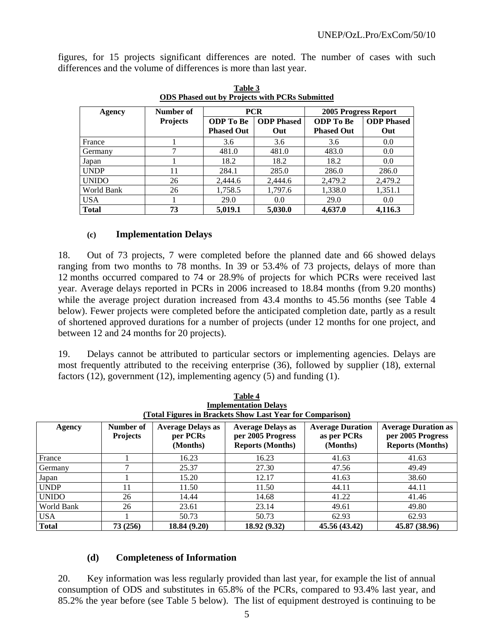figures, for 15 projects significant differences are noted. The number of cases with such differences and the volume of differences is more than last year.

| <b>Agency</b> | Number of       |                   | <b>PCR</b>        | 2005 Progress Report |                   |  |  |
|---------------|-----------------|-------------------|-------------------|----------------------|-------------------|--|--|
|               | <b>Projects</b> | <b>ODP</b> To Be  | <b>ODP</b> Phased | <b>ODP</b> To Be     | <b>ODP</b> Phased |  |  |
|               |                 | <b>Phased Out</b> | Out               | <b>Phased Out</b>    | Out               |  |  |
| France        |                 | 3.6               | 3.6               | 3.6                  | 0.0               |  |  |
| Germany       | ⇁               | 481.0             | 481.0             | 483.0                | 0.0               |  |  |
| Japan         |                 | 18.2              | 18.2              | 18.2                 | 0.0               |  |  |
| <b>UNDP</b>   | 11              | 284.1             | 285.0             | 286.0                | 286.0             |  |  |
| <b>UNIDO</b>  | 26              | 2.444.6           | 2,444.6           | 2,479.2              | 2,479.2           |  |  |
| World Bank    | 26              | 1,758.5           | 1,797.6           | 1,338.0              | 1,351.1           |  |  |
| <b>USA</b>    |                 | 29.0              | 0.0               | 29.0                 | 0.0               |  |  |
| <b>Total</b>  | 73              | 5,019.1           | 5,030.0           | 4,637.0              | 4,116.3           |  |  |

**Table 3 ODS Phased out by Projects with PCRs Submitted**

### **(c) Implementation Delays**

18. Out of 73 projects, 7 were completed before the planned date and 66 showed delays ranging from two months to 78 months. In 39 or 53.4% of 73 projects, delays of more than 12 months occurred compared to 74 or 28.9% of projects for which PCRs were received last year. Average delays reported in PCRs in 2006 increased to 18.84 months (from 9.20 months) while the average project duration increased from 43.4 months to 45.56 months (see Table 4 below). Fewer projects were completed before the anticipated completion date, partly as a result of shortened approved durations for a number of projects (under 12 months for one project, and between 12 and 24 months for 20 projects).

19. Delays cannot be attributed to particular sectors or implementing agencies. Delays are most frequently attributed to the receiving enterprise (36), followed by supplier (18), external factors (12), government (12), implementing agency (5) and funding (1).

|              |                              |                                                  | Table 4<br><b>Implementation Delays</b><br>(Total Figures in Brackets Show Last Year for Comparison) |                                                    |                                                                            |
|--------------|------------------------------|--------------------------------------------------|------------------------------------------------------------------------------------------------------|----------------------------------------------------|----------------------------------------------------------------------------|
| Agency       | Number of<br><b>Projects</b> | <b>Average Delays as</b><br>per PCRs<br>(Months) | <b>Average Delays as</b><br>per 2005 Progress<br><b>Reports (Months)</b>                             | <b>Average Duration</b><br>as per PCRs<br>(Months) | <b>Average Duration as</b><br>per 2005 Progress<br><b>Reports (Months)</b> |
| France       |                              | 16.23                                            | 16.23                                                                                                | 41.63                                              | 41.63                                                                      |
| Germany      | 7                            | 25.37                                            | 27.30                                                                                                | 47.56                                              | 49.49                                                                      |
| Japan        |                              | 15.20                                            | 12.17                                                                                                | 41.63                                              | 38.60                                                                      |
| <b>UNDP</b>  | 11                           | 11.50                                            | 11.50                                                                                                | 44.11                                              | 44.11                                                                      |
| <b>UNIDO</b> | 26                           | 14.44                                            | 14.68                                                                                                | 41.22                                              | 41.46                                                                      |
| World Bank   | 26                           | 23.61                                            | 23.14                                                                                                | 49.61                                              | 49.80                                                                      |
| <b>USA</b>   |                              | 50.73                                            | 50.73                                                                                                | 62.93                                              | 62.93                                                                      |
| <b>Total</b> | 73 (256)                     | 18.84 (9.20)                                     | 18.92 (9.32)                                                                                         | 45.56 (43.42)                                      | 45.87 (38.96)                                                              |

### **(d) Completeness of Information**

20. Key information was less regularly provided than last year, for example the list of annual consumption of ODS and substitutes in 65.8% of the PCRs, compared to 93.4% last year, and 85.2% the year before (see Table 5 below). The list of equipment destroyed is continuing to be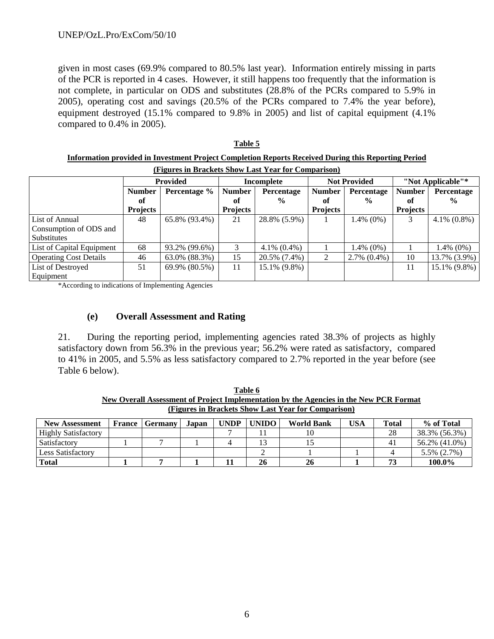given in most cases (69.9% compared to 80.5% last year). Information entirely missing in parts of the PCR is reported in 4 cases. However, it still happens too frequently that the information is not complete, in particular on ODS and substitutes (28.8% of the PCRs compared to 5.9% in 2005), operating cost and savings (20.5% of the PCRs compared to 7.4% the year before), equipment destroyed (15.1% compared to 9.8% in 2005) and list of capital equipment (4.1% compared to 0.4% in 2005).

**Table 5**

| Information provided in Investment Project Completion Reports Received During this Reporting Period |                                                                                  |               |                 |                   |                 |                   |                 |                   |  |  |  |
|-----------------------------------------------------------------------------------------------------|----------------------------------------------------------------------------------|---------------|-----------------|-------------------|-----------------|-------------------|-----------------|-------------------|--|--|--|
| (Figures in Brackets Show Last Year for Comparison)                                                 |                                                                                  |               |                 |                   |                 |                   |                 |                   |  |  |  |
|                                                                                                     | "Not Applicable"*<br><b>Provided</b><br><b>Not Provided</b><br><b>Incomplete</b> |               |                 |                   |                 |                   |                 |                   |  |  |  |
|                                                                                                     | <b>Number</b>                                                                    | Percentage %  | <b>Number</b>   | Percentage        | <b>Number</b>   | Percentage        | <b>Number</b>   | Percentage        |  |  |  |
|                                                                                                     | of                                                                               |               | of              | $\frac{0}{0}$     | оf              | $\frac{0}{0}$     | оf              | $\frac{0}{0}$     |  |  |  |
|                                                                                                     | <b>Projects</b>                                                                  |               | <b>Projects</b> |                   | <b>Projects</b> |                   | <b>Projects</b> |                   |  |  |  |
| List of Annual                                                                                      | 48                                                                               | 65.8% (93.4%) | 21              | 28.8% (5.9%)      |                 | $1.4\%$ (0%)      | 3               | $4.1\%$ $(0.8\%)$ |  |  |  |
| Consumption of ODS and                                                                              |                                                                                  |               |                 |                   |                 |                   |                 |                   |  |  |  |
| <b>Substitutes</b>                                                                                  |                                                                                  |               |                 |                   |                 |                   |                 |                   |  |  |  |
| List of Capital Equipment                                                                           | 68                                                                               | 93.2% (99.6%) | 3               | $4.1\%$ $(0.4\%)$ |                 | $1.4\%$ (0%)      |                 | 1.4% (0%)         |  |  |  |
| <b>Operating Cost Details</b>                                                                       | 46                                                                               | 63.0% (88.3%) | 15              | 20.5% (7.4%)      | 2               | $2.7\%$ $(0.4\%)$ | 10              | 13.7% (3.9%)      |  |  |  |
| List of Destroyed                                                                                   | 51                                                                               | 69.9% (80.5%) | 11              | 15.1% (9.8%)      |                 |                   | 11              | 15.1% (9.8%)      |  |  |  |
| Equipment                                                                                           |                                                                                  |               |                 |                   |                 |                   |                 |                   |  |  |  |

\*According to indications of Implementing Agencies

#### **(e) Overall Assessment and Rating**

21. During the reporting period, implementing agencies rated 38.3% of projects as highly satisfactory down from 56.3% in the previous year; 56.2% were rated as satisfactory, compared to 41% in 2005, and 5.5% as less satisfactory compared to 2.7% reported in the year before (see Table 6 below).

| New Overall Assessment of Project Implementation by the Agencies in the New PCR Format |  |                         |       |             |       |                   |     |       |                   |  |  |
|----------------------------------------------------------------------------------------|--|-------------------------|-------|-------------|-------|-------------------|-----|-------|-------------------|--|--|
| (Figures in Brackets Show Last Year for Comparison)                                    |  |                         |       |             |       |                   |     |       |                   |  |  |
| <b>New Assessment</b>                                                                  |  | <b>France   Germany</b> | Japan | <b>UNDP</b> | UNIDO | <b>World Bank</b> | USA | Total | % of Total        |  |  |
| <b>Highly Satisfactory</b>                                                             |  |                         |       |             |       |                   |     | 28    | 38.3% (56.3%)     |  |  |
| Satisfactory                                                                           |  |                         |       |             |       |                   |     | 41    | 56.2% (41.0%)     |  |  |
| Less Satisfactory                                                                      |  |                         |       |             |       |                   |     |       | $5.5\%$ $(2.7\%)$ |  |  |

**Table 6**

**Total 1 7 1 11 26 26 1 73 100.0%** 

6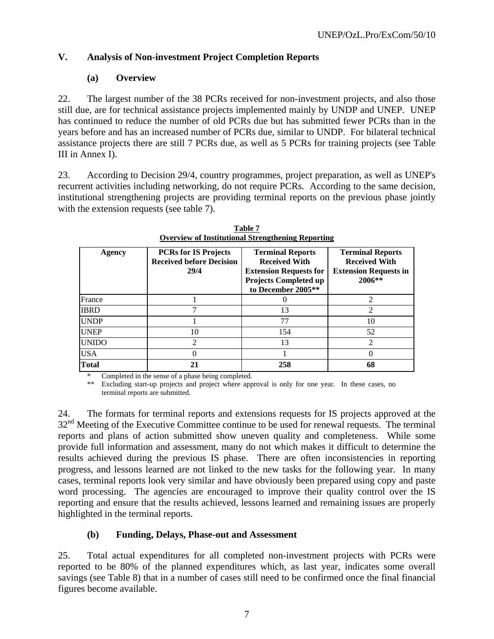### **V. Analysis of Non-investment Project Completion Reports**

### **(a) Overview**

22. The largest number of the 38 PCRs received for non-investment projects, and also those still due, are for technical assistance projects implemented mainly by UNDP and UNEP. UNEP has continued to reduce the number of old PCRs due but has submitted fewer PCRs than in the years before and has an increased number of PCRs due, similar to UNDP. For bilateral technical assistance projects there are still 7 PCRs due, as well as 5 PCRs for training projects (see Table III in Annex I).

23. According to Decision 29/4, country programmes, project preparation, as well as UNEP's recurrent activities including networking, do not require PCRs. According to the same decision, institutional strengthening projects are providing terminal reports on the previous phase jointly with the extension requests (see table 7).

| Agency       | <b>PCRs for IS Projects</b><br><b>Received before Decision</b><br>29/4 | <b>Terminal Reports</b><br><b>Received With</b><br><b>Extension Requests for</b><br><b>Projects Completed up</b><br>to December 2005** | <b>Terminal Reports</b><br><b>Received With</b><br><b>Extension Requests in</b><br>$2006**$ |
|--------------|------------------------------------------------------------------------|----------------------------------------------------------------------------------------------------------------------------------------|---------------------------------------------------------------------------------------------|
| France       |                                                                        |                                                                                                                                        | $\mathcal{D}_{\mathcal{A}}$                                                                 |
| <b>IBRD</b>  |                                                                        | 13                                                                                                                                     | $\mathcal{D}_{\mathcal{A}}$                                                                 |
| <b>UNDP</b>  |                                                                        | 77                                                                                                                                     | 10                                                                                          |
| <b>UNEP</b>  | 10                                                                     | 154                                                                                                                                    | 52                                                                                          |
| <b>UNIDO</b> | $\mathcal{D}_{\mathcal{A}}$                                            | 13                                                                                                                                     | $\mathcal{D}_{\mathcal{L}}$                                                                 |
| <b>USA</b>   |                                                                        |                                                                                                                                        |                                                                                             |
| <b>Total</b> | 21                                                                     | 258                                                                                                                                    | 68                                                                                          |

**Table 7 Overview of Institutional Strengthening Reporting**

\* Completed in the sense of a phase being completed.

\*\* Excluding start-up projects and project where approval is only for one year. In these cases, no terminal reports are submitted.

24. The formats for terminal reports and extensions requests for IS projects approved at the  $32<sup>nd</sup>$  Meeting of the Executive Committee continue to be used for renewal requests. The terminal reports and plans of action submitted show uneven quality and completeness. While some provide full information and assessment, many do not which makes it difficult to determine the results achieved during the previous IS phase. There are often inconsistencies in reporting progress, and lessons learned are not linked to the new tasks for the following year. In many cases, terminal reports look very similar and have obviously been prepared using copy and paste word processing. The agencies are encouraged to improve their quality control over the IS reporting and ensure that the results achieved, lessons learned and remaining issues are properly highlighted in the terminal reports.

### **(b) Funding, Delays, Phase-out and Assessment**

25. Total actual expenditures for all completed non-investment projects with PCRs were reported to be 80% of the planned expenditures which, as last year, indicates some overall savings (see Table 8) that in a number of cases still need to be confirmed once the final financial figures become available.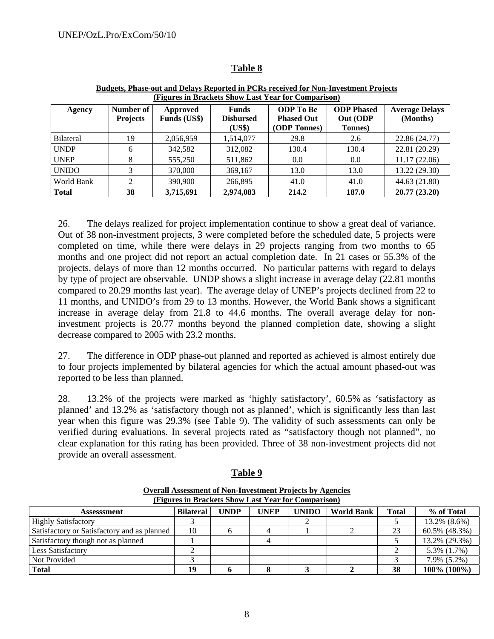| (Figures in Brackets Show Last Year for Comparison) |                              |                                 |                                     |                                                       |                                                  |                                   |  |  |  |  |
|-----------------------------------------------------|------------------------------|---------------------------------|-------------------------------------|-------------------------------------------------------|--------------------------------------------------|-----------------------------------|--|--|--|--|
| Agency                                              | Number of<br><b>Projects</b> | Approved<br><b>Funds</b> (US\$) | Funds<br><b>Disbursed</b><br>(US\$) | <b>ODP</b> To Be<br><b>Phased Out</b><br>(ODP Tonnes) | <b>ODP</b> Phased<br>Out (ODP<br><b>Tonnes</b> ) | <b>Average Delays</b><br>(Months) |  |  |  |  |
| <b>Bilateral</b>                                    | 19                           | 2,056,959                       | 1,514,077                           | 29.8                                                  | 2.6                                              | 22.86 (24.77)                     |  |  |  |  |
| <b>UNDP</b>                                         | 6                            | 342,582                         | 312,082                             | 130.4                                                 | 130.4                                            | 22.81 (20.29)                     |  |  |  |  |
| <b>UNEP</b>                                         | 8                            | 555,250                         | 511,862                             | 0.0                                                   | 0.0                                              | 11.17(22.06)                      |  |  |  |  |
| <b>UNIDO</b>                                        | 3                            | 370,000                         | 369,167                             | 13.0                                                  | 13.0                                             | 13.22 (29.30)                     |  |  |  |  |
| World Bank                                          | ◠                            | 390,900                         | 266,895                             | 41.0                                                  | 41.0                                             | 44.63 (21.80)                     |  |  |  |  |
| <b>Total</b>                                        | 38                           | 3,715,691                       | 2,974,083                           | 214.2                                                 | 187.0                                            | 20.77 (23.20)                     |  |  |  |  |

#### **Table 8**

**Budgets, Phase-out and Delays Reported in PCRs received for Non-Investment Projects**

26. The delays realized for project implementation continue to show a great deal of variance. Out of 38 non-investment projects, 3 were completed before the scheduled date, 5 projects were completed on time, while there were delays in 29 projects ranging from two months to 65 months and one project did not report an actual completion date. In 21 cases or 55.3% of the projects, delays of more than 12 months occurred. No particular patterns with regard to delays by type of project are observable. UNDP shows a slight increase in average delay (22.81 months compared to 20.29 months last year). The average delay of UNEP's projects declined from 22 to 11 months, and UNIDO's from 29 to 13 months. However, the World Bank shows a significant increase in average delay from 21.8 to 44.6 months. The overall average delay for noninvestment projects is 20.77 months beyond the planned completion date, showing a slight decrease compared to 2005 with 23.2 months.

27. The difference in ODP phase-out planned and reported as achieved is almost entirely due to four projects implemented by bilateral agencies for which the actual amount phased-out was reported to be less than planned.

28. 13.2% of the projects were marked as 'highly satisfactory', 60.5% as 'satisfactory as planned' and 13.2% as 'satisfactory though not as planned', which is significantly less than last year when this figure was 29.3% (see Table 9). The validity of such assessments can only be verified during evaluations. In several projects rated as "satisfactory though not planned", no clear explanation for this rating has been provided. Three of 38 non-investment projects did not provide an overall assessment.

| (Figures in Brackets Show Last Year for Comparison) |                  |             |             |              |                   |              |                   |  |
|-----------------------------------------------------|------------------|-------------|-------------|--------------|-------------------|--------------|-------------------|--|
| Assesssment                                         | <b>Bilateral</b> | <b>UNDP</b> | <b>UNEP</b> | <b>UNIDO</b> | <b>World Bank</b> | <b>Total</b> | % of Total        |  |
| <b>Highly Satisfactory</b>                          |                  |             |             |              |                   |              | 13.2% (8.6%)      |  |
| Satisfactory or Satisfactory and as planned         | 10               |             |             |              |                   | 23           | 60.5% (48.3%)     |  |
| Satisfactory though not as planned                  |                  |             |             |              |                   |              | 13.2% (29.3%)     |  |
| <b>Less Satisfactory</b>                            |                  |             |             |              |                   |              | 5.3% (1.7%)       |  |
| Not Provided                                        |                  |             |             |              |                   |              | $7.9\%$ $(5.2\%)$ |  |
| <b>Total</b>                                        | 19               |             |             |              |                   | 38           | $100\%$ (100%)    |  |

#### **Table 9**

**Overall Assessment of Non-Investment Projects by Agencies**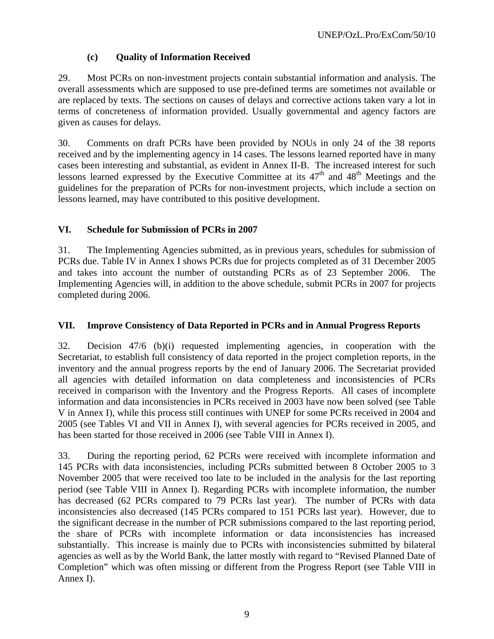### **(c) Quality of Information Received**

29. Most PCRs on non-investment projects contain substantial information and analysis. The overall assessments which are supposed to use pre-defined terms are sometimes not available or are replaced by texts. The sections on causes of delays and corrective actions taken vary a lot in terms of concreteness of information provided. Usually governmental and agency factors are given as causes for delays.

30. Comments on draft PCRs have been provided by NOUs in only 24 of the 38 reports received and by the implementing agency in 14 cases. The lessons learned reported have in many cases been interesting and substantial, as evident in Annex II-B. The increased interest for such lessons learned expressed by the Executive Committee at its  $47<sup>th</sup>$  and  $48<sup>th</sup>$  Meetings and the guidelines for the preparation of PCRs for non-investment projects, which include a section on lessons learned, may have contributed to this positive development.

### **VI. Schedule for Submission of PCRs in 2007**

31. The Implementing Agencies submitted, as in previous years, schedules for submission of PCRs due. Table IV in Annex I shows PCRs due for projects completed as of 31 December 2005 and takes into account the number of outstanding PCRs as of 23 September 2006. The Implementing Agencies will, in addition to the above schedule, submit PCRs in 2007 for projects completed during 2006.

### **VII. Improve Consistency of Data Reported in PCRs and in Annual Progress Reports**

32. Decision 47/6 (b)(i) requested implementing agencies, in cooperation with the Secretariat, to establish full consistency of data reported in the project completion reports, in the inventory and the annual progress reports by the end of January 2006. The Secretariat provided all agencies with detailed information on data completeness and inconsistencies of PCRs received in comparison with the Inventory and the Progress Reports. All cases of incomplete information and data inconsistencies in PCRs received in 2003 have now been solved (see Table V in Annex I), while this process still continues with UNEP for some PCRs received in 2004 and 2005 (see Tables VI and VII in Annex I), with several agencies for PCRs received in 2005, and has been started for those received in 2006 (see Table VIII in Annex I).

33. During the reporting period, 62 PCRs were received with incomplete information and 145 PCRs with data inconsistencies, including PCRs submitted between 8 October 2005 to 3 November 2005 that were received too late to be included in the analysis for the last reporting period (see Table VIII in Annex I). Regarding PCRs with incomplete information, the number has decreased (62 PCRs compared to 79 PCRs last year). The number of PCRs with data inconsistencies also decreased (145 PCRs compared to 151 PCRs last year). However, due to the significant decrease in the number of PCR submissions compared to the last reporting period, the share of PCRs with incomplete information or data inconsistencies has increased substantially. This increase is mainly due to PCRs with inconsistencies submitted by bilateral agencies as well as by the World Bank, the latter mostly with regard to "Revised Planned Date of Completion" which was often missing or different from the Progress Report (see Table VIII in Annex I).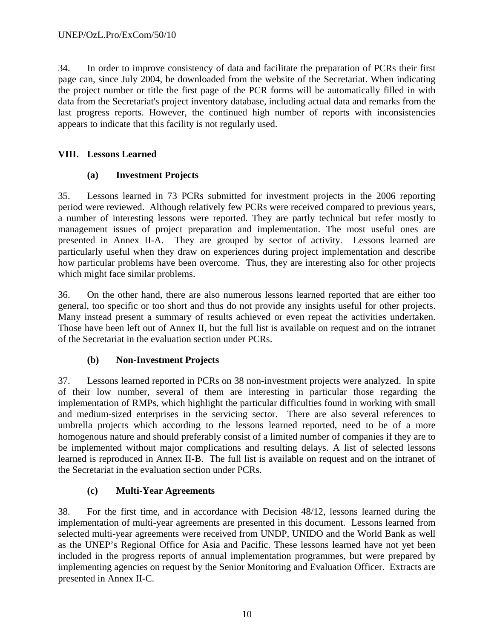34. In order to improve consistency of data and facilitate the preparation of PCRs their first page can, since July 2004, be downloaded from the website of the Secretariat. When indicating the project number or title the first page of the PCR forms will be automatically filled in with data from the Secretariat's project inventory database, including actual data and remarks from the last progress reports. However, the continued high number of reports with inconsistencies appears to indicate that this facility is not regularly used.

### **VIII. Lessons Learned**

### **(a) Investment Projects**

35. Lessons learned in 73 PCRs submitted for investment projects in the 2006 reporting period were reviewed. Although relatively few PCRs were received compared to previous years, a number of interesting lessons were reported. They are partly technical but refer mostly to management issues of project preparation and implementation. The most useful ones are presented in Annex II-A. They are grouped by sector of activity. Lessons learned are particularly useful when they draw on experiences during project implementation and describe how particular problems have been overcome. Thus, they are interesting also for other projects which might face similar problems.

36. On the other hand, there are also numerous lessons learned reported that are either too general, too specific or too short and thus do not provide any insights useful for other projects. Many instead present a summary of results achieved or even repeat the activities undertaken. Those have been left out of Annex II, but the full list is available on request and on the intranet of the Secretariat in the evaluation section under PCRs.

### **(b) Non-Investment Projects**

37. Lessons learned reported in PCRs on 38 non-investment projects were analyzed. In spite of their low number, several of them are interesting in particular those regarding the implementation of RMPs, which highlight the particular difficulties found in working with small and medium-sized enterprises in the servicing sector. There are also several references to umbrella projects which according to the lessons learned reported, need to be of a more homogenous nature and should preferably consist of a limited number of companies if they are to be implemented without major complications and resulting delays. A list of selected lessons learned is reproduced in Annex II-B. The full list is available on request and on the intranet of the Secretariat in the evaluation section under PCRs.

### **(c) Multi-Year Agreements**

38. For the first time, and in accordance with Decision 48/12, lessons learned during the implementation of multi-year agreements are presented in this document. Lessons learned from selected multi-year agreements were received from UNDP, UNIDO and the World Bank as well as the UNEP's Regional Office for Asia and Pacific. These lessons learned have not yet been included in the progress reports of annual implementation programmes, but were prepared by implementing agencies on request by the Senior Monitoring and Evaluation Officer. Extracts are presented in Annex II-C.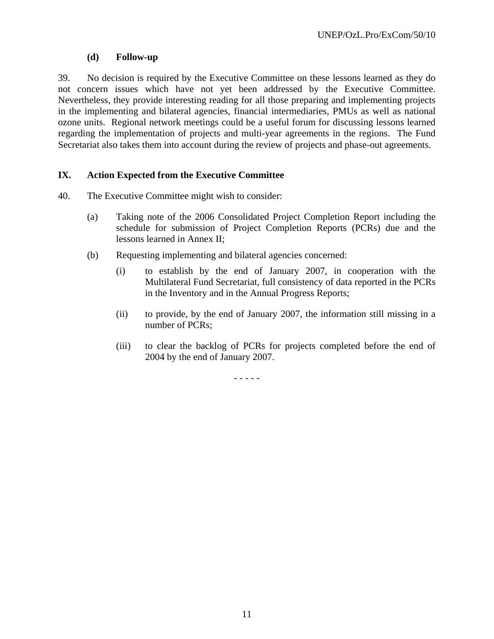### **(d) Follow-up**

39. No decision is required by the Executive Committee on these lessons learned as they do not concern issues which have not yet been addressed by the Executive Committee. Nevertheless, they provide interesting reading for all those preparing and implementing projects in the implementing and bilateral agencies, financial intermediaries, PMUs as well as national ozone units. Regional network meetings could be a useful forum for discussing lessons learned regarding the implementation of projects and multi-year agreements in the regions. The Fund Secretariat also takes them into account during the review of projects and phase-out agreements.

### **IX. Action Expected from the Executive Committee**

- 40. The Executive Committee might wish to consider:
	- (a) Taking note of the 2006 Consolidated Project Completion Report including the schedule for submission of Project Completion Reports (PCRs) due and the lessons learned in Annex II;
	- (b) Requesting implementing and bilateral agencies concerned:
		- (i) to establish by the end of January 2007, in cooperation with the Multilateral Fund Secretariat, full consistency of data reported in the PCRs in the Inventory and in the Annual Progress Reports;
		- (ii) to provide, by the end of January 2007, the information still missing in a number of PCRs;
		- (iii) to clear the backlog of PCRs for projects completed before the end of 2004 by the end of January 2007.

- - - - -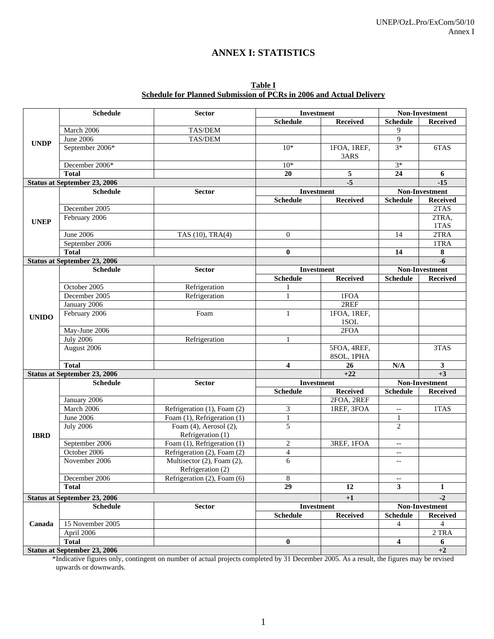## **ANNEX I: STATISTICS**

| Table I                                                             |
|---------------------------------------------------------------------|
| Schedule for Planned Submission of PCRs in 2006 and Actual Delivery |

|              | <b>Schedule</b>                     | <b>Sector</b>                                   |                 | <b>Investment</b>         |                          | Non-Investment  |
|--------------|-------------------------------------|-------------------------------------------------|-----------------|---------------------------|--------------------------|-----------------|
|              |                                     |                                                 | <b>Schedule</b> | <b>Received</b>           | <b>Schedule</b>          | <b>Received</b> |
|              | March 2006                          | TAS/DEM                                         |                 |                           | 9                        |                 |
| <b>UNDP</b>  | June $2006$                         | TAS/DEM                                         |                 |                           | 9                        |                 |
|              | September 2006*                     |                                                 | $10*$           | 1FOA, 1REF,<br>3ARS       | $3*$                     | 6TAS            |
|              | December 2006*                      |                                                 | $10*$           |                           | $3*$                     |                 |
|              | <b>Total</b>                        |                                                 | 20              | 5                         | 24                       | 6               |
|              | Status at September 23, 2006        |                                                 |                 | $-5$                      |                          | $-15$           |
|              | <b>Schedule</b>                     | <b>Sector</b>                                   |                 | Investment                |                          | Non-Investment  |
|              |                                     |                                                 | <b>Schedule</b> | <b>Received</b>           | <b>Schedule</b>          | <b>Received</b> |
|              | December 2005                       |                                                 |                 |                           |                          | 2TAS            |
| <b>UNEP</b>  | February 2006                       |                                                 |                 |                           |                          | 2TRA,<br>1TAS   |
|              | <b>June 2006</b>                    | TAS (10), TRA(4)                                | $\mathbf{0}$    |                           | 14                       | 2TRA            |
|              | September 2006                      |                                                 |                 |                           |                          | 1TRA            |
|              | <b>Total</b>                        |                                                 | $\bf{0}$        |                           | 14                       | 8               |
|              | <b>Status at September 23, 2006</b> |                                                 |                 |                           |                          | $-6$            |
|              | <b>Schedule</b>                     | <b>Sector</b>                                   |                 | <b>Investment</b>         |                          | Non-Investment  |
|              |                                     |                                                 | <b>Schedule</b> | <b>Received</b>           | <b>Schedule</b>          | <b>Received</b> |
|              | October 2005                        | Refrigeration                                   |                 |                           |                          |                 |
|              | December 2005                       | Refrigeration                                   | 1               | 1FOA                      |                          |                 |
|              | January 2006                        |                                                 |                 | 2REF                      |                          |                 |
| <b>UNIDO</b> | February 2006                       | Foam                                            | $\mathbf{1}$    | 1FOA, 1REF,<br>1SOL       |                          |                 |
|              | May-June 2006                       |                                                 |                 | 2FOA                      |                          |                 |
|              | <b>July 2006</b>                    | Refrigeration                                   | $\mathbf{1}$    |                           |                          |                 |
|              | August 2006                         |                                                 |                 | 5FOA, 4REF,<br>8SOL, 1PHA |                          | 3TAS            |
|              | <b>Total</b>                        |                                                 | 4               | 26                        | N/A                      | $\mathbf{3}$    |
|              | <b>Status at September 23, 2006</b> |                                                 |                 | $+22$                     |                          | $+3$            |
|              | <b>Schedule</b>                     | <b>Sector</b>                                   |                 | Investment                |                          | Non-Investment  |
|              |                                     |                                                 | <b>Schedule</b> | <b>Received</b>           | <b>Schedule</b>          | <b>Received</b> |
|              | January 2006                        |                                                 |                 | 2FOA, 2REF                |                          |                 |
|              | March 2006                          | Refrigeration (1), Foam (2)                     | 3               | 1REF, 3FOA                | $\overline{\phantom{a}}$ | 1TAS            |
|              | June 2006                           | Foam (1), Refrigeration (1)                     | 1               |                           | $\mathbf{1}$             |                 |
|              | <b>July 2006</b>                    | Foam $(4)$ , Aerosol $(2)$ ,                    | 5               |                           | $\overline{2}$           |                 |
| <b>IBRD</b>  |                                     | Refrigeration (1)                               |                 |                           |                          |                 |
|              | September 2006                      | Foam (1), Refrigeration (1)                     | 2               | 3REF, 1FOA                | $\overline{\phantom{a}}$ |                 |
|              | October 2006                        | Refrigeration (2), Foam (2)                     | $\overline{4}$  |                           | $\overline{\phantom{a}}$ |                 |
|              | November 2006                       | Multisector (2), Foam (2),<br>Refrigeration (2) | 6               |                           | $\overline{\phantom{m}}$ |                 |
|              | December 2006                       | Refrigeration (2), Foam (6)                     | 8               |                           |                          |                 |
|              | <b>Total</b>                        |                                                 | $\overline{29}$ | 12                        | $\overline{\mathbf{3}}$  | 1               |
|              | <b>Status at September 23, 2006</b> |                                                 |                 | $+1$                      |                          | $-2$            |
|              | <b>Schedule</b>                     | <b>Sector</b>                                   |                 | Investment                |                          | Non-Investment  |
|              |                                     |                                                 | <b>Schedule</b> | <b>Received</b>           | <b>Schedule</b>          | <b>Received</b> |
| Canada       | 15 November 2005                    |                                                 |                 |                           | 4                        | 4               |
|              | April 2006                          |                                                 |                 |                           |                          | 2TRA            |
|              | <b>Total</b>                        |                                                 | $\bf{0}$        |                           | $\overline{\mathbf{4}}$  | 6               |
|              | <b>Status at September 23, 2006</b> |                                                 |                 |                           |                          | $+2$            |

\*Indicative figures only, contingent on number of actual projects completed by 31 December 2005. As a result, the figures may be revised upwards or downwards.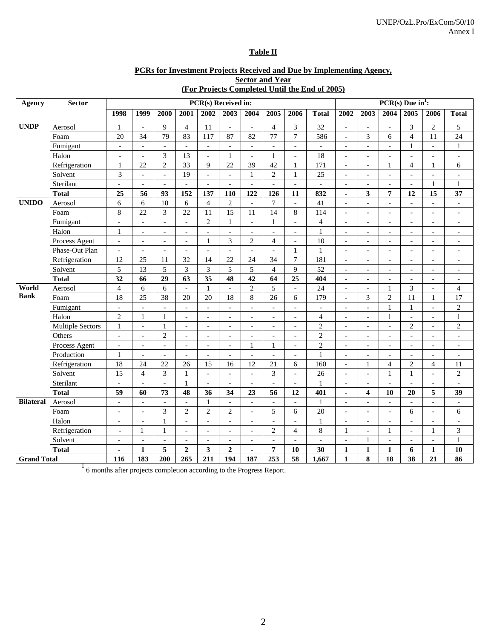#### **Table II**

#### **PCRs for Investment Projects Received and Due by Implementing Agency, Sector and Year**

|                  | <b>Sector and Year</b><br>(For Projects Completed Until the End of 2005)<br>$PCR(s)$ Due in <sup>1</sup> :<br>PCR(s) Received in: |                          |                          |                          |                          |                          |                          |                          |                          |                          |                          |                          |                          |                          |                          |                          |                          |
|------------------|-----------------------------------------------------------------------------------------------------------------------------------|--------------------------|--------------------------|--------------------------|--------------------------|--------------------------|--------------------------|--------------------------|--------------------------|--------------------------|--------------------------|--------------------------|--------------------------|--------------------------|--------------------------|--------------------------|--------------------------|
| Agency           | <b>Sector</b>                                                                                                                     |                          |                          |                          |                          |                          |                          |                          |                          |                          |                          |                          |                          |                          |                          |                          |                          |
|                  |                                                                                                                                   | 1998                     | 1999                     | 2000                     | 2001                     | 2002                     | 2003                     | 2004                     | 2005                     | 2006                     | <b>Total</b>             | 2002                     | 2003                     | 2004                     | 2005                     | 2006                     | <b>Total</b>             |
| <b>UNDP</b>      | Aerosol                                                                                                                           | 1                        | $\overline{\phantom{a}}$ | 9                        | $\overline{4}$           | 11                       | $\overline{\phantom{a}}$ | $\overline{\phantom{a}}$ | $\overline{4}$           | 3                        | 32                       | $\overline{\phantom{a}}$ | $\overline{\phantom{a}}$ | $\overline{a}$           | 3                        | 2                        | 5                        |
|                  | Foam                                                                                                                              | 20                       | 34                       | 79                       | 83                       | 117                      | 87                       | 82                       | 77                       | $\overline{7}$           | 586                      | $\overline{\phantom{a}}$ | 3                        | 6                        | $\overline{4}$           | 11                       | 24                       |
|                  | Fumigant                                                                                                                          | $\overline{\phantom{a}}$ | $\mathcal{L}$            | $\overline{a}$           | $\overline{\phantom{a}}$ | $\overline{a}$           | $\overline{a}$           | $\overline{\phantom{a}}$ | $\blacksquare$           | $\overline{a}$           | $\overline{\phantom{a}}$ | $\blacksquare$           | $\blacksquare$           | $\overline{a}$           | $\mathbf{1}$             | $\overline{\phantom{a}}$ | $\mathbf{1}$             |
|                  | Halon                                                                                                                             | $\overline{\phantom{a}}$ | $\mathcal{L}$            | 3                        | 13                       | $\overline{a}$           | $\mathbf{1}$             | $\overline{\phantom{a}}$ | $\mathbf{1}$             | $\overline{\phantom{a}}$ | 18                       | $\overline{\phantom{a}}$ | $\overline{\phantom{a}}$ | $\overline{a}$           | $\mathcal{L}$            | $\overline{\phantom{a}}$ | $\overline{\phantom{a}}$ |
|                  | Refrigeration                                                                                                                     | 1                        | 22                       | $\mathbf{2}$             | 33                       | 9                        | 22                       | 39                       | 42                       | 1                        | 171                      | $\overline{\phantom{a}}$ | $\overline{\phantom{a}}$ | 1                        | 4                        | 1                        | 6                        |
|                  | Solvent                                                                                                                           | 3                        | $\overline{a}$           | $\overline{a}$           | 19                       | $\overline{a}$           | $\overline{\phantom{a}}$ | 1                        | $\overline{2}$           | $\mathbf{1}$             | 25                       | $\overline{\phantom{a}}$ | $\overline{a}$           | $\overline{a}$           | $\overline{a}$           | $\overline{a}$           | $\overline{a}$           |
|                  | Sterilant                                                                                                                         | $\blacksquare$           | $\overline{\phantom{a}}$ | $\blacksquare$           | $\overline{a}$           | $\overline{a}$           | $\overline{\phantom{a}}$ | $\blacksquare$           | $\overline{a}$           | $\overline{\phantom{a}}$ | $\sim$                   | $\overline{\phantom{a}}$ | $\overline{a}$           | $\overline{a}$           | $\overline{a}$           | $\mathbf{1}$             | $\mathbf{1}$             |
|                  | <b>Total</b>                                                                                                                      | 25                       | 56                       | 93                       | 152                      | 137                      | 110                      | 122                      | 126                      | 11                       | 832                      | $\blacksquare$           | $\overline{\mathbf{3}}$  | 7                        | 12                       | 15                       | 37                       |
| <b>UNIDO</b>     | Aerosol                                                                                                                           | 6                        | 6                        | 10                       | 6                        | $\overline{4}$           | $\overline{2}$           | $\overline{\phantom{a}}$ | $\overline{7}$           | $\overline{\phantom{a}}$ | 41                       | $\overline{\phantom{a}}$ | $\overline{\phantom{a}}$ | $\overline{\phantom{a}}$ | $\sim$                   | $\overline{\phantom{a}}$ | $\mathcal{L}$            |
|                  | Foam                                                                                                                              | $\,8\,$                  | 22                       | 3                        | 22                       | 11                       | 15                       | 11                       | 14                       | 8                        | 114                      | $\blacksquare$           | $\overline{\phantom{a}}$ | $\overline{\phantom{a}}$ | $\blacksquare$           | $\overline{a}$           | $\overline{\phantom{a}}$ |
|                  | Fumigant                                                                                                                          | $\overline{\phantom{a}}$ | $\mathcal{L}$            | $\overline{a}$           | $\frac{1}{2}$            | $\overline{2}$           | $\mathbf{1}$             | $\overline{\phantom{a}}$ | $\mathbf{1}$             | $\overline{a}$           | $\overline{4}$           | $\overline{\phantom{a}}$ | $\overline{\phantom{a}}$ | $\overline{a}$           | $\overline{\phantom{a}}$ | $\overline{\phantom{m}}$ | $\overline{\phantom{a}}$ |
|                  | Halon                                                                                                                             | $\mathbf{1}$             | $\blacksquare$           | $\blacksquare$           | $\overline{a}$           | $\overline{a}$           | $\overline{\phantom{a}}$ | $\blacksquare$           | $\bar{\phantom{a}}$      | $\blacksquare$           | $\mathbf 1$              | $\blacksquare$           | $\blacksquare$           | $\overline{a}$           | $\overline{a}$           | $\blacksquare$           | $\blacksquare$           |
|                  | Process Agent                                                                                                                     | $\overline{a}$           | $\blacksquare$           | $\overline{\phantom{a}}$ | $\overline{\phantom{a}}$ | $\mathbf{1}$             | 3                        | $\overline{c}$           | $\overline{4}$           | $\overline{a}$           | 10                       | $\overline{\phantom{a}}$ | $\overline{\phantom{a}}$ | $\overline{\phantom{a}}$ | $\overline{\phantom{a}}$ | $\blacksquare$           | $\overline{\phantom{a}}$ |
|                  | Phase-Out Plan                                                                                                                    | $\overline{\phantom{a}}$ | $\overline{\phantom{a}}$ | $\overline{\phantom{a}}$ | $\overline{\phantom{a}}$ | $\overline{\phantom{a}}$ | $\overline{\phantom{a}}$ | $\overline{\phantom{a}}$ | $\overline{\phantom{a}}$ | 1                        | $\mathbf{1}$             | $\overline{\phantom{a}}$ | $\overline{\phantom{a}}$ | $\overline{\phantom{a}}$ | $\overline{\phantom{a}}$ | $\overline{\phantom{a}}$ | $\overline{\phantom{a}}$ |
|                  | Refrigeration                                                                                                                     | 12                       | 25                       | 11                       | 32                       | 14                       | 22                       | 24                       | 34                       | $\overline{7}$           | 181                      | $\overline{\phantom{a}}$ | $\overline{a}$           | $\overline{a}$           | $\overline{\phantom{a}}$ | $\overline{\phantom{a}}$ | $\overline{\phantom{a}}$ |
|                  | Solvent                                                                                                                           | 5                        | 13                       | 5                        | 3                        | 3                        | 5                        | 5                        | $\overline{4}$           | $\overline{9}$           | 52                       | $\overline{\phantom{a}}$ | $\overline{\phantom{a}}$ |                          | $\overline{a}$           | $\overline{\phantom{a}}$ | $\overline{\phantom{a}}$ |
|                  | <b>Total</b>                                                                                                                      | 32                       | 66                       | 29                       | 63                       | 35                       | 48                       | 42                       | 64                       | 25                       | 404                      | $\blacksquare$           | $\blacksquare$           | $\blacksquare$           | $\overline{\phantom{a}}$ | ÷                        | $\blacksquare$           |
| World            | Aerosol                                                                                                                           | $\overline{4}$           | 6                        | 6                        | $\overline{\phantom{a}}$ | $\mathbf{1}$             | $\overline{\phantom{a}}$ | $\overline{c}$           | 5                        | $\overline{\phantom{a}}$ | 24                       | $\overline{\phantom{a}}$ | $\overline{\phantom{a}}$ | 1                        | 3                        | $\overline{\phantom{a}}$ | $\overline{4}$           |
| <b>Bank</b>      | Foam                                                                                                                              | 18                       | 25                       | 38                       | 20                       | 20                       | 18                       | 8                        | 26                       | 6                        | 179                      | $\overline{\phantom{a}}$ | 3                        | $\overline{c}$           | 11                       | 1                        | 17                       |
|                  | Fumigant                                                                                                                          | $\overline{a}$           | $\overline{a}$           | $\overline{a}$           | $\overline{a}$           | $\overline{a}$           | $\overline{\phantom{0}}$ | $\overline{\phantom{a}}$ | $\overline{\phantom{a}}$ | $\overline{a}$           | $\overline{\phantom{a}}$ | $\overline{\phantom{a}}$ | $\overline{a}$           | 1                        | $\mathbf{1}$             | $\overline{\phantom{0}}$ | $\sqrt{2}$               |
|                  | Halon                                                                                                                             | $\mathbf{2}$             | $\mathbf{1}$             | $\mathbf{1}$             | $\blacksquare$           | $\blacksquare$           | $\overline{a}$           | $\blacksquare$           | $\overline{a}$           | $\blacksquare$           | $\overline{4}$           | $\blacksquare$           | $\blacksquare$           | 1                        | $\bar{\phantom{a}}$      | $\blacksquare$           | $\mathbf{1}$             |
|                  | <b>Multiple Sectors</b>                                                                                                           | $\mathbf{1}$             | $\mathbf{r}$             | $\mathbf{1}$             | $\blacksquare$           | $\overline{a}$           | $\overline{a}$           | $\blacksquare$           | $\overline{a}$           | $\blacksquare$           | $\sqrt{2}$               | $\overline{a}$           | $\blacksquare$           | $\overline{a}$           | $\overline{c}$           | $\overline{a}$           | $\mathbf{2}$             |
|                  | Others                                                                                                                            | $\overline{\phantom{a}}$ | $\overline{\phantom{a}}$ | $\mathbf{2}$             | $\overline{\phantom{a}}$ | $\overline{\phantom{a}}$ | $\overline{\phantom{a}}$ | $\blacksquare$           | $\overline{\phantom{a}}$ | $\blacksquare$           | $\sqrt{2}$               | $\overline{\phantom{a}}$ | $\blacksquare$           | $\overline{\phantom{a}}$ | $\overline{\phantom{a}}$ | $\blacksquare$           | $\overline{\phantom{a}}$ |
|                  | Process Agent                                                                                                                     | $\frac{1}{2}$            | $\overline{\phantom{a}}$ | $\overline{\phantom{a}}$ | $\overline{a}$           | $\overline{\phantom{a}}$ | $\overline{\phantom{a}}$ | 1                        | 1                        | $\overline{\phantom{0}}$ | $\sqrt{2}$               | $\overline{\phantom{a}}$ | $\overline{\phantom{a}}$ | $\overline{a}$           | $\overline{\phantom{a}}$ | $\overline{\phantom{a}}$ | $\overline{\phantom{a}}$ |
|                  | Production                                                                                                                        | 1                        | $\blacksquare$           | $\blacksquare$           | $\overline{a}$           | $\overline{a}$           | $\overline{\phantom{a}}$ | $\overline{\phantom{a}}$ | $\overline{\phantom{a}}$ | $\sim$                   | $\mathbf{1}$             | $\overline{\phantom{a}}$ | $\overline{\phantom{a}}$ | $\overline{a}$           | $\overline{a}$           | $\overline{a}$           | $\blacksquare$           |
|                  | Refrigeration                                                                                                                     | 18                       | 24                       | 22                       | 26                       | 15                       | 16                       | 12                       | 21                       | 6                        | 160                      | $\overline{\phantom{a}}$ | 1                        | $\overline{4}$           | $\overline{2}$           | $\overline{4}$           | 11                       |
|                  | Solvent                                                                                                                           | 15                       | $\overline{4}$           | 3                        | $\mathbf{1}$             | $\overline{\phantom{a}}$ | $\sim$                   | $\overline{\phantom{a}}$ | 3                        | $\equiv$                 | 26                       | $\sim$                   | $\overline{\phantom{a}}$ | 1                        | $\mathbf{1}$             | $\overline{\phantom{a}}$ | $\overline{2}$           |
|                  | Sterilant                                                                                                                         |                          | $\blacksquare$           | $\overline{a}$           | $\mathbf{1}$             | $\overline{a}$           | $\blacksquare$           | $\overline{\phantom{a}}$ | $\overline{a}$           | $\overline{\phantom{a}}$ | $\mathbf{1}$             | $\blacksquare$           | $\overline{a}$           | $\overline{a}$           | $\blacksquare$           | $\overline{a}$           |                          |
|                  | Total                                                                                                                             | 59                       | 60                       | 73                       | 48                       | 36                       | 34                       | 23                       | 56                       | 12                       | 401                      | $\blacksquare$           | $\overline{\mathbf{4}}$  | 10                       | 20                       | 5                        | 39                       |
| <b>Bilateral</b> | Aerosol                                                                                                                           | $\equiv$                 | $\mathcal{L}$            | $\overline{\phantom{a}}$ | $\overline{\phantom{a}}$ | $\mathbf{1}$             | $\overline{a}$           | $\overline{\phantom{a}}$ | $\overline{\phantom{a}}$ | $\overline{a}$           | $\mathbf{1}$             | $\blacksquare$           | $\blacksquare$           | $\overline{a}$           | $\overline{\phantom{a}}$ | $\overline{\phantom{a}}$ | $\overline{\phantom{a}}$ |
|                  | Foam                                                                                                                              | $\overline{\phantom{a}}$ | $\blacksquare$           | 3                        | $\overline{c}$           | $\overline{c}$           | $\mathbf{2}$             | $\overline{\phantom{a}}$ | 5                        | 6                        | 20                       | $\overline{a}$           | $\overline{\phantom{a}}$ | $\overline{a}$           | 6                        | $\overline{a}$           | 6                        |
|                  | Halon                                                                                                                             | $\overline{\phantom{a}}$ | $\overline{\phantom{a}}$ | $\mathbf{1}$             | $\overline{\phantom{a}}$ | $\overline{\phantom{a}}$ | $\overline{\phantom{a}}$ | $\overline{\phantom{a}}$ | $\overline{\phantom{a}}$ | $\overline{\phantom{a}}$ | $\mathbf{1}$             | $\overline{\phantom{a}}$ | $\overline{\phantom{a}}$ | $\overline{\phantom{a}}$ | $\overline{\phantom{a}}$ | $\blacksquare$           | $\overline{\phantom{a}}$ |
|                  | Refrigeration                                                                                                                     | $\overline{\phantom{a}}$ | 1                        | $\mathbf{1}$             | $\overline{\phantom{a}}$ | $\overline{\phantom{a}}$ | $\overline{\phantom{a}}$ | $\overline{\phantom{a}}$ | $\mathbf{2}$             | $\overline{4}$           | 8                        | 1                        | $\overline{\phantom{a}}$ | 1                        | $\overline{a}$           | 1                        | 3                        |
|                  | Solvent                                                                                                                           | $\qquad \qquad -$        | $\overline{\phantom{a}}$ | $\overline{a}$           | $\overline{a}$           | $\overline{\phantom{a}}$ | $\overline{\phantom{a}}$ | $\overline{\phantom{a}}$ | $\overline{a}$           | $\overline{a}$           | $\overline{\phantom{a}}$ | $\overline{\phantom{a}}$ | 1                        | $\overline{a}$           | $\overline{a}$           | $\overline{a}$           | $\mathbf{1}$             |
|                  | <b>Total</b>                                                                                                                      | $\blacksquare$           | 1                        | 5                        | $\overline{2}$           | 3                        | $\overline{2}$           |                          | 7                        | 10                       | 30                       | 1                        | $\mathbf{1}$             | $\mathbf{1}$             | 6                        | $\mathbf{1}$             | 10                       |

Grand Total 116 183 200 265 211 194 187 253 58 1,667 1 8 38 21 86<br><sup>1</sup>6 months after projects completion according to the Progress Report.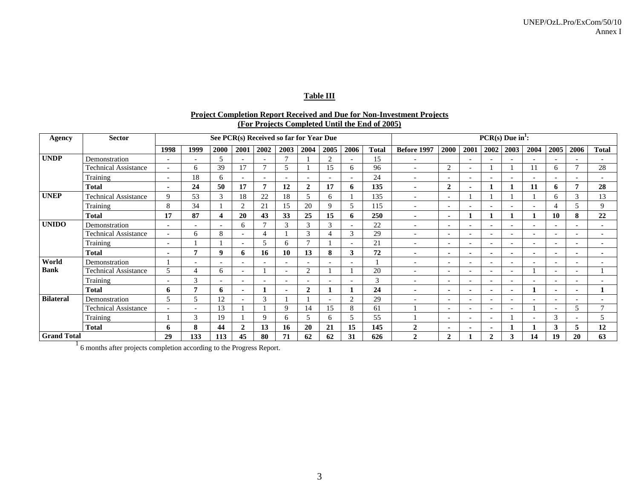#### **Table III**

#### **Project Completion Report Received and Due for Non-Investment Projects (For Projects Completed Until the End of 2005)**

| Agency             | <b>Sector</b>               |                          | See PCR(s) Received so far for Year Due |             |                          |                          |                          |                          |                |                          |              |                          |                          |                          | $PCR(s)$ Due in <sup>1</sup> : |                          |                          |                          |                          |                          |
|--------------------|-----------------------------|--------------------------|-----------------------------------------|-------------|--------------------------|--------------------------|--------------------------|--------------------------|----------------|--------------------------|--------------|--------------------------|--------------------------|--------------------------|--------------------------------|--------------------------|--------------------------|--------------------------|--------------------------|--------------------------|
|                    |                             | 1998                     | 1999                                    | <b>2000</b> | 2001                     | 2002                     | 2003                     | 2004                     | 2005           | 2006                     | <b>Total</b> | Before 1997              | 2000                     | 2001                     | 2002                           | 2003                     | 2004                     | 2005                     | 2006                     | <b>Total</b>             |
| <b>UNDP</b>        | Demonstration               | $\overline{\phantom{a}}$ | $\overline{\phantom{0}}$                | 5           | $\overline{\phantom{a}}$ | $\overline{\phantom{a}}$ | $\mathcal{I}$            |                          | $\overline{2}$ | $\overline{\phantom{a}}$ | 15           | $\overline{\phantom{0}}$ |                          | $\overline{\phantom{a}}$ | $\overline{\phantom{a}}$       | $\overline{\phantom{0}}$ | $\overline{\phantom{0}}$ |                          |                          |                          |
|                    | <b>Technical Assistance</b> | $\overline{\phantom{a}}$ | 6                                       | 39          | 17                       | $\mathcal{I}$            | 5                        |                          | 15             | 6                        | 96           | $\overline{\phantom{a}}$ | 2                        |                          |                                |                          | 11                       | 6                        | $\overline{ }$           | 28                       |
|                    | Training                    | $\overline{\phantom{0}}$ | 18                                      | 6           | ٠                        | ٠                        |                          |                          |                | ۰                        | 24           | $\overline{\phantom{a}}$ | $\overline{\phantom{0}}$ |                          |                                | $\overline{\phantom{a}}$ |                          |                          |                          |                          |
|                    | <b>Total</b>                |                          | 24                                      | 50          | 17                       | $\overline{7}$           | 12                       | $\mathbf{2}$             | 17             | 6                        | 135          | $\blacksquare$           | $\mathbf{2}$             |                          |                                |                          | 11                       | 6.                       |                          | 28                       |
| <b>UNEP</b>        | <b>Technical Assistance</b> | 9                        | 53                                      | 3           | 18                       | 22                       | 18                       |                          | 6              |                          | 135          | $\overline{\phantom{a}}$ | $\overline{\phantom{0}}$ |                          |                                |                          |                          | 6                        | 3                        | 13                       |
|                    | Training                    | 8                        | 34                                      |             | $\overline{2}$           | 21                       | 15                       | 20                       | $\mathbf Q$    | 5                        | 115          | $\overline{\phantom{0}}$ | $\overline{\phantom{0}}$ |                          |                                |                          |                          | $\overline{4}$           | 5                        | 9                        |
|                    | <b>Total</b>                | 17                       | 87                                      | 4           | 20                       | 43                       | 33                       | 25                       | 15             | 6                        | 250          | $\blacksquare$           | $\sim$                   |                          |                                |                          |                          | 10                       | 8                        | 22                       |
| <b>UNIDO</b>       | Demonstration               | $\overline{\phantom{a}}$ | $\overline{\phantom{a}}$                |             | 6                        | $\mathcal{I}$            | 3                        | $\mathcal{R}$            | $\mathcal{R}$  | ٠                        | 22           | $\overline{\phantom{a}}$ | $\overline{\phantom{a}}$ |                          | $\overline{\phantom{0}}$       | $\overline{\phantom{0}}$ | $\overline{\phantom{a}}$ |                          |                          |                          |
|                    | <b>Technical Assistance</b> | $\overline{\phantom{0}}$ | 6                                       | 8           | ٠                        | $\overline{4}$           |                          | 3                        |                | 3                        | 29           | $\overline{\phantom{0}}$ | $\overline{\phantom{0}}$ | $\overline{\phantom{a}}$ | $\overline{\phantom{a}}$       | $\overline{\phantom{a}}$ | $\overline{\phantom{0}}$ |                          | $\overline{\phantom{a}}$ | $\overline{a}$           |
|                    | Training                    | $\overline{\phantom{0}}$ |                                         |             | $\overline{\phantom{a}}$ | 5                        | 6                        |                          |                | $\overline{\phantom{a}}$ | 21           | $\overline{\phantom{0}}$ | $\overline{\phantom{a}}$ |                          | $\overline{\phantom{0}}$       | $\overline{\phantom{0}}$ | $\overline{\phantom{0}}$ | $\overline{\phantom{0}}$ | $\overline{\phantom{a}}$ | $\overline{a}$           |
|                    | <b>Total</b>                | ٠                        | $\mathbf{r}$                            | q           | 6                        | 16                       | 10                       | 13                       | 8              | 3                        | 72           | $\blacksquare$           | $\blacksquare$           |                          | ٠                              | $\blacksquare$           | $\blacksquare$           |                          | $\blacksquare$           |                          |
| World              | Demonstration               |                          |                                         |             | ٠                        | ٠                        |                          |                          |                | ۰                        |              | $\overline{\phantom{0}}$ | $\overline{\phantom{0}}$ |                          | ٠                              | $\overline{\phantom{0}}$ |                          |                          |                          |                          |
| <b>Bank</b>        | <b>Technical Assistance</b> | 5                        | $\overline{4}$                          | 6           |                          |                          |                          | $\bigcap$                |                |                          | 20           | $\overline{\phantom{a}}$ | $\overline{\phantom{a}}$ |                          |                                | $\overline{\phantom{a}}$ |                          |                          |                          |                          |
|                    | Training                    | $\overline{\phantom{0}}$ | 3                                       |             | $\overline{\phantom{0}}$ | $\overline{\phantom{0}}$ | $\overline{\phantom{0}}$ | $\overline{\phantom{0}}$ |                | $\overline{\phantom{0}}$ | 3            | $\overline{\phantom{0}}$ | $\sim$                   |                          | $\overline{\phantom{0}}$       | $\overline{\phantom{0}}$ | $\overline{\phantom{0}}$ | $\sim$                   | $\overline{\phantom{a}}$ | $\overline{\phantom{0}}$ |
|                    | <b>Total</b>                | 6                        | -                                       | 6           | $\sim$                   |                          | $\blacksquare$           | $\mathbf{2}$             |                |                          | 24           | $\blacksquare$           | $\sim$                   | $\blacksquare$           | $\blacksquare$                 | $\blacksquare$           |                          | $\blacksquare$           | $\blacksquare$           | 1                        |
| <b>Bilateral</b>   | Demonstration               | 5                        | 5                                       | 12          |                          | 3                        |                          |                          |                | $\overline{2}$           | 29           |                          | $\overline{\phantom{a}}$ |                          |                                | $\overline{\phantom{0}}$ |                          |                          |                          |                          |
|                    | <b>Technical Assistance</b> |                          |                                         | 13          |                          |                          | 9                        | 14                       | 15             | 8                        | 61           |                          | $\overline{\phantom{0}}$ |                          |                                |                          |                          |                          | 5                        | $\mathbf{r}$             |
|                    | Training                    |                          | 3                                       | 19          |                          | 9                        | 6                        |                          | 6              | 5                        | 55           |                          | $\overline{\phantom{0}}$ | $\overline{\phantom{0}}$ | $\overline{\phantom{a}}$       |                          | $\overline{\phantom{0}}$ | 3                        | $\overline{\phantom{0}}$ | 5                        |
|                    | <b>Total</b>                | h                        | 8                                       | 44          | $\mathbf{2}$             | 13                       | 16                       | 20                       | 21             | 15                       | 145          | $\overline{2}$           | ٠                        |                          | ٠                              |                          |                          | 3                        | 5                        | 12                       |
| <b>Grand Total</b> |                             |                          | 133                                     | 113         | 45                       | 80                       | 71                       | 62                       | 62             | 31                       | 626          | $\mathbf{2}$             | $\mathbf{2}$             |                          | $\overline{2}$                 | 3                        | 14                       | 19                       | 20                       | 63                       |

1 6 months after projects completion according to the Progress Report.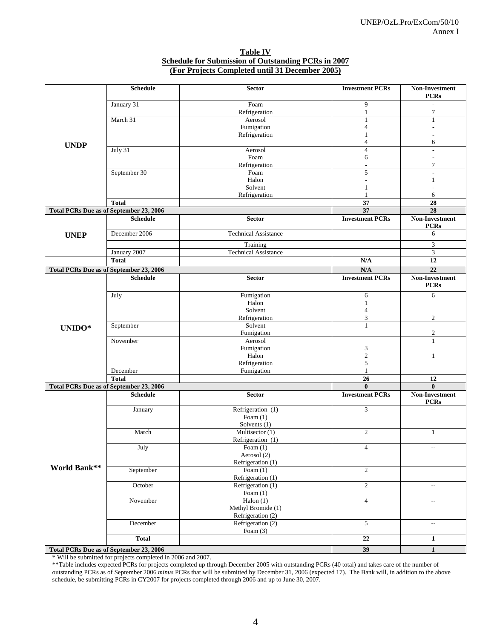#### **Table IV Schedule for Submission of Outstanding PCRs in 2007 (For Projects Completed until 31 December 2005)**

| 9<br>January 31<br>Foam<br>$\overline{7}$<br>Refrigeration<br>$\mathbf{1}$<br>March 31<br>Aerosol<br>$\mathbf{1}$<br>$\mathbf{1}$<br>Fumigation<br>$\overline{4}$<br>Refrigeration<br>1<br>$\overline{4}$<br>6<br><b>UNDP</b><br>July 31<br>$\overline{4}$<br>Aerosol<br>$\overline{\phantom{a}}$<br>Foam<br>6<br>$\overline{7}$<br>Refrigeration<br>$\overline{a}$<br>September 30<br>Foam<br>5<br>Halon<br>1<br>Solvent<br>$\mathbf{1}$<br>Refrigeration<br>1<br>6<br>37<br>$\overline{28}$<br><b>Total</b><br>37<br>$\overline{28}$<br><b>Total PCRs Due as of September 23, 2006</b><br><b>Schedule</b><br><b>Investment PCRs</b><br>Non-Investment<br><b>Sector</b><br><b>PCRs</b><br>December 2006<br><b>Technical Assistance</b><br>6<br><b>UNEP</b><br>3<br>Training<br>January 2007<br><b>Technical Assistance</b><br>3<br>$\overline{12}$<br>N/A<br><b>Total</b><br>$\overline{22}$<br><b>Total PCRs Due as of September 23, 2006</b><br>N/A<br><b>Schedule</b><br><b>Investment PCRs</b><br><b>Non-Investment</b><br><b>Sector</b><br><b>PCRs</b><br>Fumigation<br>6<br>July<br>6<br>Halon<br>$\mathbf{1}$<br>Solvent<br>$\overline{4}$<br>3<br>$\overline{c}$<br>Refrigeration<br>$\mathbf{1}$<br>September<br>Solvent<br>UNIDO*<br>$\mathfrak{2}$<br>Fumigation<br>Aerosol<br>November<br>1<br>Fumigation<br>3<br>Halon<br>$\sqrt{2}$<br>1<br>5<br>Refrigeration<br>$\mathbf{1}$<br>December<br>Fumigation<br>26<br><b>Total</b><br>12<br><b>Total PCRs Due as of September 23, 2006</b><br>$\bf{0}$<br>$\mathbf{0}$<br><b>Investment PCRs</b><br>Non-Investment<br><b>Schedule</b><br><b>Sector</b><br><b>PCRs</b><br>Refrigeration (1)<br>3<br>January<br>$\overline{\phantom{a}}$<br>Foam $(1)$<br>Solvents (1)<br>Multisector (1)<br>$\mathfrak{2}$<br>March<br>1<br>Refrigeration (1)<br>July<br>Foam $(1)$<br>$\overline{4}$<br>$\overline{\phantom{a}}$<br>Aerosol (2)<br>Refrigeration (1)<br><b>World Bank**</b><br>September<br>$\overline{2}$<br>Foam $(1)$<br>Refrigeration (1)<br>$\overline{c}$<br>October<br>Refrigeration (1)<br>$\overline{\phantom{a}}$<br>Foam $(1)$<br>Halon $(1)$<br>$\overline{4}$<br>November<br>$\sim$<br>Methyl Bromide (1)<br>Refrigeration (2)<br>Refrigeration (2)<br>5<br>December<br>$\sim$<br>Foam $(3)$<br>$\overline{22}$<br><b>Total</b><br>$\mathbf{1}$<br><b>Total PCRs Due as of September 23, 2006</b> | <b>Schedule</b> | Sector | <b>Investment PCRs</b> | Non-Investment<br><b>PCRs</b> |
|---------------------------------------------------------------------------------------------------------------------------------------------------------------------------------------------------------------------------------------------------------------------------------------------------------------------------------------------------------------------------------------------------------------------------------------------------------------------------------------------------------------------------------------------------------------------------------------------------------------------------------------------------------------------------------------------------------------------------------------------------------------------------------------------------------------------------------------------------------------------------------------------------------------------------------------------------------------------------------------------------------------------------------------------------------------------------------------------------------------------------------------------------------------------------------------------------------------------------------------------------------------------------------------------------------------------------------------------------------------------------------------------------------------------------------------------------------------------------------------------------------------------------------------------------------------------------------------------------------------------------------------------------------------------------------------------------------------------------------------------------------------------------------------------------------------------------------------------------------------------------------------------------------------------------------------------------------------------------------------------------------------------------------------------------------------------------------------------------------------------------------------------------------------------------------------------------------------------------------------------------------------------------------------------------------------------------------------------------------------------------|-----------------|--------|------------------------|-------------------------------|
|                                                                                                                                                                                                                                                                                                                                                                                                                                                                                                                                                                                                                                                                                                                                                                                                                                                                                                                                                                                                                                                                                                                                                                                                                                                                                                                                                                                                                                                                                                                                                                                                                                                                                                                                                                                                                                                                                                                                                                                                                                                                                                                                                                                                                                                                                                                                                                           |                 |        |                        |                               |
|                                                                                                                                                                                                                                                                                                                                                                                                                                                                                                                                                                                                                                                                                                                                                                                                                                                                                                                                                                                                                                                                                                                                                                                                                                                                                                                                                                                                                                                                                                                                                                                                                                                                                                                                                                                                                                                                                                                                                                                                                                                                                                                                                                                                                                                                                                                                                                           |                 |        |                        |                               |
|                                                                                                                                                                                                                                                                                                                                                                                                                                                                                                                                                                                                                                                                                                                                                                                                                                                                                                                                                                                                                                                                                                                                                                                                                                                                                                                                                                                                                                                                                                                                                                                                                                                                                                                                                                                                                                                                                                                                                                                                                                                                                                                                                                                                                                                                                                                                                                           |                 |        |                        |                               |
|                                                                                                                                                                                                                                                                                                                                                                                                                                                                                                                                                                                                                                                                                                                                                                                                                                                                                                                                                                                                                                                                                                                                                                                                                                                                                                                                                                                                                                                                                                                                                                                                                                                                                                                                                                                                                                                                                                                                                                                                                                                                                                                                                                                                                                                                                                                                                                           |                 |        |                        |                               |
|                                                                                                                                                                                                                                                                                                                                                                                                                                                                                                                                                                                                                                                                                                                                                                                                                                                                                                                                                                                                                                                                                                                                                                                                                                                                                                                                                                                                                                                                                                                                                                                                                                                                                                                                                                                                                                                                                                                                                                                                                                                                                                                                                                                                                                                                                                                                                                           |                 |        |                        |                               |
|                                                                                                                                                                                                                                                                                                                                                                                                                                                                                                                                                                                                                                                                                                                                                                                                                                                                                                                                                                                                                                                                                                                                                                                                                                                                                                                                                                                                                                                                                                                                                                                                                                                                                                                                                                                                                                                                                                                                                                                                                                                                                                                                                                                                                                                                                                                                                                           |                 |        |                        |                               |
|                                                                                                                                                                                                                                                                                                                                                                                                                                                                                                                                                                                                                                                                                                                                                                                                                                                                                                                                                                                                                                                                                                                                                                                                                                                                                                                                                                                                                                                                                                                                                                                                                                                                                                                                                                                                                                                                                                                                                                                                                                                                                                                                                                                                                                                                                                                                                                           |                 |        |                        |                               |
|                                                                                                                                                                                                                                                                                                                                                                                                                                                                                                                                                                                                                                                                                                                                                                                                                                                                                                                                                                                                                                                                                                                                                                                                                                                                                                                                                                                                                                                                                                                                                                                                                                                                                                                                                                                                                                                                                                                                                                                                                                                                                                                                                                                                                                                                                                                                                                           |                 |        |                        |                               |
|                                                                                                                                                                                                                                                                                                                                                                                                                                                                                                                                                                                                                                                                                                                                                                                                                                                                                                                                                                                                                                                                                                                                                                                                                                                                                                                                                                                                                                                                                                                                                                                                                                                                                                                                                                                                                                                                                                                                                                                                                                                                                                                                                                                                                                                                                                                                                                           |                 |        |                        |                               |
|                                                                                                                                                                                                                                                                                                                                                                                                                                                                                                                                                                                                                                                                                                                                                                                                                                                                                                                                                                                                                                                                                                                                                                                                                                                                                                                                                                                                                                                                                                                                                                                                                                                                                                                                                                                                                                                                                                                                                                                                                                                                                                                                                                                                                                                                                                                                                                           |                 |        |                        |                               |
|                                                                                                                                                                                                                                                                                                                                                                                                                                                                                                                                                                                                                                                                                                                                                                                                                                                                                                                                                                                                                                                                                                                                                                                                                                                                                                                                                                                                                                                                                                                                                                                                                                                                                                                                                                                                                                                                                                                                                                                                                                                                                                                                                                                                                                                                                                                                                                           |                 |        |                        |                               |
|                                                                                                                                                                                                                                                                                                                                                                                                                                                                                                                                                                                                                                                                                                                                                                                                                                                                                                                                                                                                                                                                                                                                                                                                                                                                                                                                                                                                                                                                                                                                                                                                                                                                                                                                                                                                                                                                                                                                                                                                                                                                                                                                                                                                                                                                                                                                                                           |                 |        |                        |                               |
|                                                                                                                                                                                                                                                                                                                                                                                                                                                                                                                                                                                                                                                                                                                                                                                                                                                                                                                                                                                                                                                                                                                                                                                                                                                                                                                                                                                                                                                                                                                                                                                                                                                                                                                                                                                                                                                                                                                                                                                                                                                                                                                                                                                                                                                                                                                                                                           |                 |        |                        |                               |
|                                                                                                                                                                                                                                                                                                                                                                                                                                                                                                                                                                                                                                                                                                                                                                                                                                                                                                                                                                                                                                                                                                                                                                                                                                                                                                                                                                                                                                                                                                                                                                                                                                                                                                                                                                                                                                                                                                                                                                                                                                                                                                                                                                                                                                                                                                                                                                           |                 |        |                        |                               |
|                                                                                                                                                                                                                                                                                                                                                                                                                                                                                                                                                                                                                                                                                                                                                                                                                                                                                                                                                                                                                                                                                                                                                                                                                                                                                                                                                                                                                                                                                                                                                                                                                                                                                                                                                                                                                                                                                                                                                                                                                                                                                                                                                                                                                                                                                                                                                                           |                 |        |                        |                               |
|                                                                                                                                                                                                                                                                                                                                                                                                                                                                                                                                                                                                                                                                                                                                                                                                                                                                                                                                                                                                                                                                                                                                                                                                                                                                                                                                                                                                                                                                                                                                                                                                                                                                                                                                                                                                                                                                                                                                                                                                                                                                                                                                                                                                                                                                                                                                                                           |                 |        |                        |                               |
|                                                                                                                                                                                                                                                                                                                                                                                                                                                                                                                                                                                                                                                                                                                                                                                                                                                                                                                                                                                                                                                                                                                                                                                                                                                                                                                                                                                                                                                                                                                                                                                                                                                                                                                                                                                                                                                                                                                                                                                                                                                                                                                                                                                                                                                                                                                                                                           |                 |        |                        |                               |
|                                                                                                                                                                                                                                                                                                                                                                                                                                                                                                                                                                                                                                                                                                                                                                                                                                                                                                                                                                                                                                                                                                                                                                                                                                                                                                                                                                                                                                                                                                                                                                                                                                                                                                                                                                                                                                                                                                                                                                                                                                                                                                                                                                                                                                                                                                                                                                           |                 |        |                        |                               |
|                                                                                                                                                                                                                                                                                                                                                                                                                                                                                                                                                                                                                                                                                                                                                                                                                                                                                                                                                                                                                                                                                                                                                                                                                                                                                                                                                                                                                                                                                                                                                                                                                                                                                                                                                                                                                                                                                                                                                                                                                                                                                                                                                                                                                                                                                                                                                                           |                 |        |                        |                               |
|                                                                                                                                                                                                                                                                                                                                                                                                                                                                                                                                                                                                                                                                                                                                                                                                                                                                                                                                                                                                                                                                                                                                                                                                                                                                                                                                                                                                                                                                                                                                                                                                                                                                                                                                                                                                                                                                                                                                                                                                                                                                                                                                                                                                                                                                                                                                                                           |                 |        |                        |                               |
|                                                                                                                                                                                                                                                                                                                                                                                                                                                                                                                                                                                                                                                                                                                                                                                                                                                                                                                                                                                                                                                                                                                                                                                                                                                                                                                                                                                                                                                                                                                                                                                                                                                                                                                                                                                                                                                                                                                                                                                                                                                                                                                                                                                                                                                                                                                                                                           |                 |        |                        |                               |
|                                                                                                                                                                                                                                                                                                                                                                                                                                                                                                                                                                                                                                                                                                                                                                                                                                                                                                                                                                                                                                                                                                                                                                                                                                                                                                                                                                                                                                                                                                                                                                                                                                                                                                                                                                                                                                                                                                                                                                                                                                                                                                                                                                                                                                                                                                                                                                           |                 |        |                        |                               |
|                                                                                                                                                                                                                                                                                                                                                                                                                                                                                                                                                                                                                                                                                                                                                                                                                                                                                                                                                                                                                                                                                                                                                                                                                                                                                                                                                                                                                                                                                                                                                                                                                                                                                                                                                                                                                                                                                                                                                                                                                                                                                                                                                                                                                                                                                                                                                                           |                 |        |                        |                               |
|                                                                                                                                                                                                                                                                                                                                                                                                                                                                                                                                                                                                                                                                                                                                                                                                                                                                                                                                                                                                                                                                                                                                                                                                                                                                                                                                                                                                                                                                                                                                                                                                                                                                                                                                                                                                                                                                                                                                                                                                                                                                                                                                                                                                                                                                                                                                                                           |                 |        |                        |                               |
|                                                                                                                                                                                                                                                                                                                                                                                                                                                                                                                                                                                                                                                                                                                                                                                                                                                                                                                                                                                                                                                                                                                                                                                                                                                                                                                                                                                                                                                                                                                                                                                                                                                                                                                                                                                                                                                                                                                                                                                                                                                                                                                                                                                                                                                                                                                                                                           |                 |        |                        |                               |
|                                                                                                                                                                                                                                                                                                                                                                                                                                                                                                                                                                                                                                                                                                                                                                                                                                                                                                                                                                                                                                                                                                                                                                                                                                                                                                                                                                                                                                                                                                                                                                                                                                                                                                                                                                                                                                                                                                                                                                                                                                                                                                                                                                                                                                                                                                                                                                           |                 |        |                        |                               |
|                                                                                                                                                                                                                                                                                                                                                                                                                                                                                                                                                                                                                                                                                                                                                                                                                                                                                                                                                                                                                                                                                                                                                                                                                                                                                                                                                                                                                                                                                                                                                                                                                                                                                                                                                                                                                                                                                                                                                                                                                                                                                                                                                                                                                                                                                                                                                                           |                 |        |                        |                               |
|                                                                                                                                                                                                                                                                                                                                                                                                                                                                                                                                                                                                                                                                                                                                                                                                                                                                                                                                                                                                                                                                                                                                                                                                                                                                                                                                                                                                                                                                                                                                                                                                                                                                                                                                                                                                                                                                                                                                                                                                                                                                                                                                                                                                                                                                                                                                                                           |                 |        |                        |                               |
|                                                                                                                                                                                                                                                                                                                                                                                                                                                                                                                                                                                                                                                                                                                                                                                                                                                                                                                                                                                                                                                                                                                                                                                                                                                                                                                                                                                                                                                                                                                                                                                                                                                                                                                                                                                                                                                                                                                                                                                                                                                                                                                                                                                                                                                                                                                                                                           |                 |        |                        |                               |
|                                                                                                                                                                                                                                                                                                                                                                                                                                                                                                                                                                                                                                                                                                                                                                                                                                                                                                                                                                                                                                                                                                                                                                                                                                                                                                                                                                                                                                                                                                                                                                                                                                                                                                                                                                                                                                                                                                                                                                                                                                                                                                                                                                                                                                                                                                                                                                           |                 |        |                        |                               |
|                                                                                                                                                                                                                                                                                                                                                                                                                                                                                                                                                                                                                                                                                                                                                                                                                                                                                                                                                                                                                                                                                                                                                                                                                                                                                                                                                                                                                                                                                                                                                                                                                                                                                                                                                                                                                                                                                                                                                                                                                                                                                                                                                                                                                                                                                                                                                                           |                 |        |                        |                               |
|                                                                                                                                                                                                                                                                                                                                                                                                                                                                                                                                                                                                                                                                                                                                                                                                                                                                                                                                                                                                                                                                                                                                                                                                                                                                                                                                                                                                                                                                                                                                                                                                                                                                                                                                                                                                                                                                                                                                                                                                                                                                                                                                                                                                                                                                                                                                                                           |                 |        |                        |                               |
|                                                                                                                                                                                                                                                                                                                                                                                                                                                                                                                                                                                                                                                                                                                                                                                                                                                                                                                                                                                                                                                                                                                                                                                                                                                                                                                                                                                                                                                                                                                                                                                                                                                                                                                                                                                                                                                                                                                                                                                                                                                                                                                                                                                                                                                                                                                                                                           |                 |        |                        |                               |
|                                                                                                                                                                                                                                                                                                                                                                                                                                                                                                                                                                                                                                                                                                                                                                                                                                                                                                                                                                                                                                                                                                                                                                                                                                                                                                                                                                                                                                                                                                                                                                                                                                                                                                                                                                                                                                                                                                                                                                                                                                                                                                                                                                                                                                                                                                                                                                           |                 |        |                        |                               |
|                                                                                                                                                                                                                                                                                                                                                                                                                                                                                                                                                                                                                                                                                                                                                                                                                                                                                                                                                                                                                                                                                                                                                                                                                                                                                                                                                                                                                                                                                                                                                                                                                                                                                                                                                                                                                                                                                                                                                                                                                                                                                                                                                                                                                                                                                                                                                                           |                 |        |                        |                               |
|                                                                                                                                                                                                                                                                                                                                                                                                                                                                                                                                                                                                                                                                                                                                                                                                                                                                                                                                                                                                                                                                                                                                                                                                                                                                                                                                                                                                                                                                                                                                                                                                                                                                                                                                                                                                                                                                                                                                                                                                                                                                                                                                                                                                                                                                                                                                                                           |                 |        |                        |                               |
|                                                                                                                                                                                                                                                                                                                                                                                                                                                                                                                                                                                                                                                                                                                                                                                                                                                                                                                                                                                                                                                                                                                                                                                                                                                                                                                                                                                                                                                                                                                                                                                                                                                                                                                                                                                                                                                                                                                                                                                                                                                                                                                                                                                                                                                                                                                                                                           |                 |        |                        |                               |
|                                                                                                                                                                                                                                                                                                                                                                                                                                                                                                                                                                                                                                                                                                                                                                                                                                                                                                                                                                                                                                                                                                                                                                                                                                                                                                                                                                                                                                                                                                                                                                                                                                                                                                                                                                                                                                                                                                                                                                                                                                                                                                                                                                                                                                                                                                                                                                           |                 |        |                        |                               |
|                                                                                                                                                                                                                                                                                                                                                                                                                                                                                                                                                                                                                                                                                                                                                                                                                                                                                                                                                                                                                                                                                                                                                                                                                                                                                                                                                                                                                                                                                                                                                                                                                                                                                                                                                                                                                                                                                                                                                                                                                                                                                                                                                                                                                                                                                                                                                                           |                 |        |                        |                               |
|                                                                                                                                                                                                                                                                                                                                                                                                                                                                                                                                                                                                                                                                                                                                                                                                                                                                                                                                                                                                                                                                                                                                                                                                                                                                                                                                                                                                                                                                                                                                                                                                                                                                                                                                                                                                                                                                                                                                                                                                                                                                                                                                                                                                                                                                                                                                                                           |                 |        |                        |                               |
|                                                                                                                                                                                                                                                                                                                                                                                                                                                                                                                                                                                                                                                                                                                                                                                                                                                                                                                                                                                                                                                                                                                                                                                                                                                                                                                                                                                                                                                                                                                                                                                                                                                                                                                                                                                                                                                                                                                                                                                                                                                                                                                                                                                                                                                                                                                                                                           |                 |        |                        |                               |
|                                                                                                                                                                                                                                                                                                                                                                                                                                                                                                                                                                                                                                                                                                                                                                                                                                                                                                                                                                                                                                                                                                                                                                                                                                                                                                                                                                                                                                                                                                                                                                                                                                                                                                                                                                                                                                                                                                                                                                                                                                                                                                                                                                                                                                                                                                                                                                           |                 |        |                        |                               |
|                                                                                                                                                                                                                                                                                                                                                                                                                                                                                                                                                                                                                                                                                                                                                                                                                                                                                                                                                                                                                                                                                                                                                                                                                                                                                                                                                                                                                                                                                                                                                                                                                                                                                                                                                                                                                                                                                                                                                                                                                                                                                                                                                                                                                                                                                                                                                                           |                 |        |                        |                               |
|                                                                                                                                                                                                                                                                                                                                                                                                                                                                                                                                                                                                                                                                                                                                                                                                                                                                                                                                                                                                                                                                                                                                                                                                                                                                                                                                                                                                                                                                                                                                                                                                                                                                                                                                                                                                                                                                                                                                                                                                                                                                                                                                                                                                                                                                                                                                                                           |                 |        |                        |                               |
|                                                                                                                                                                                                                                                                                                                                                                                                                                                                                                                                                                                                                                                                                                                                                                                                                                                                                                                                                                                                                                                                                                                                                                                                                                                                                                                                                                                                                                                                                                                                                                                                                                                                                                                                                                                                                                                                                                                                                                                                                                                                                                                                                                                                                                                                                                                                                                           |                 |        | 39                     | $\mathbf{1}$                  |

\* Will be submitted for projects completed in 2006 and 2007.

\*\*Table includes expected PCRs for projects completed up through December 2005 with outstanding PCRs (40 total) and takes care of the number of outstanding PCRs as of September 2006 *minus* PCRs that will be submitted by December 31, 2006 (expected 17). The Bank will, in addition to the above schedule, be submitting PCRs in CY2007 for projects completed through 2006 and up to June 30, 2007.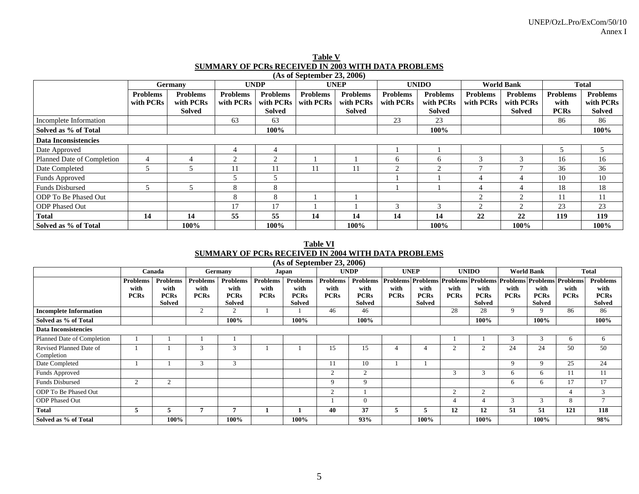| Table V                                                    |
|------------------------------------------------------------|
| <b>SUMMARY OF PCRs RECEIVED IN 2003 WITH DATA PROBLEMS</b> |
| $(A \circ \text{of Sontember } 23, 2006)$                  |

|                             |                              | <b>Germany</b>                         |                              | <b>UNDP</b>                                   |                              | <b>UNEP</b>                                   |                              | <b>UNIDO</b>                                  |                              | <b>World Bank</b>                             |                                        | <b>Total</b>                                  |
|-----------------------------|------------------------------|----------------------------------------|------------------------------|-----------------------------------------------|------------------------------|-----------------------------------------------|------------------------------|-----------------------------------------------|------------------------------|-----------------------------------------------|----------------------------------------|-----------------------------------------------|
|                             | <b>Problems</b><br>with PCRs | <b>Problems</b><br>with PCRs<br>Solved | <b>Problems</b><br>with PCRs | <b>Problems</b><br>with PCRs<br><b>Solved</b> | <b>Problems</b><br>with PCRs | <b>Problems</b><br>with PCRs<br><b>Solved</b> | <b>Problems</b><br>with PCRs | <b>Problems</b><br>with PCRs<br><b>Solved</b> | <b>Problems</b><br>with PCRs | <b>Problems</b><br>with PCRs<br><b>Solved</b> | <b>Problems</b><br>with<br><b>PCRs</b> | <b>Problems</b><br>with PCRs<br><b>Solved</b> |
| Incomplete Information      |                              |                                        | 63                           | 63                                            |                              |                                               | 23                           | 23                                            |                              |                                               | 86                                     | 86                                            |
| Solved as % of Total        |                              |                                        |                              | 100%                                          |                              |                                               |                              | 100%                                          |                              |                                               |                                        | 100%                                          |
| <b>Data Inconsistencies</b> |                              |                                        |                              |                                               |                              |                                               |                              |                                               |                              |                                               |                                        |                                               |
| Date Approved               |                              |                                        | 4                            | 4                                             |                              |                                               |                              |                                               |                              |                                               | 5                                      |                                               |
| Planned Date of Completion  | $\overline{4}$               |                                        | $\mathcal{D}$                | $\overline{2}$                                |                              |                                               | <sub>b</sub>                 | 6                                             | 3                            | 3                                             | 16                                     | 16                                            |
| Date Completed              | 5                            |                                        | 11                           | 11                                            | 11                           | 11                                            | ◠                            | $\bigcap$                                     | $\mathbf{r}$                 |                                               | 36                                     | 36                                            |
| Funds Approved              |                              |                                        |                              |                                               |                              |                                               |                              |                                               | 4                            |                                               | 10                                     | 10                                            |
| <b>Funds Disbursed</b>      | 5                            |                                        | 8                            | 8                                             |                              |                                               |                              |                                               | $\overline{4}$               |                                               | 18                                     | 18                                            |
| ODP To Be Phased Out        |                              |                                        | 8                            | 8                                             |                              |                                               |                              |                                               | $\mathfrak{D}_{1}^{(1)}$     | $\mathcal{L}$                                 |                                        |                                               |
| <b>ODP</b> Phased Out       |                              |                                        | 17                           | 17                                            |                              |                                               | 3                            | 3                                             | $\gamma$                     | $\overline{c}$                                | 23                                     | 23                                            |
| <b>Total</b>                | 14                           | 14                                     | 55                           | 55                                            | 14                           | 14                                            | 14                           | 14                                            | 22                           | 22                                            | 119                                    | 119                                           |
| Solved as % of Total        |                              | 100%                                   |                              | 100%                                          |                              | 100%                                          |                              | 100%                                          |                              | 100%                                          |                                        | 100%                                          |

#### **Table VI SUMMARY OF PCRs RECEIVED IN 2004 WITH DATA PROBLEMS (As of September 23, 2006)**

|                                       | (AS 01 September <i>25</i> , 2000)<br>Canada<br>Germany<br><b>UNDP</b><br><b>UNEP</b><br><b>UNIDO</b><br><b>World Bank</b><br>Japan |                              |                         |                         |                         |                              |                         |                              |             |                              |                                                    |                       |             |                                  |                         |                              |
|---------------------------------------|-------------------------------------------------------------------------------------------------------------------------------------|------------------------------|-------------------------|-------------------------|-------------------------|------------------------------|-------------------------|------------------------------|-------------|------------------------------|----------------------------------------------------|-----------------------|-------------|----------------------------------|-------------------------|------------------------------|
|                                       |                                                                                                                                     |                              |                         |                         |                         |                              |                         |                              |             |                              |                                                    |                       |             |                                  |                         | Total                        |
|                                       | <b>Problems</b><br>with                                                                                                             | Problems<br>with             | <b>Problems</b><br>with | <b>Problems</b><br>with | <b>Problems</b><br>with | <b>Problems</b><br>with      | <b>Problems</b><br>with | <b>Problems</b><br>with      | with        | with                         | <b>Problems Problems Problems Problems</b><br>with | with                  | with        | <b>Problems Problems</b><br>with | <b>Problems</b><br>with | <b>Problems</b><br>with      |
|                                       | <b>PCRs</b>                                                                                                                         | <b>PCRs</b><br><b>Solved</b> | <b>PCRs</b>             | <b>PCRs</b><br>Solved   | <b>PCRs</b>             | <b>PCRs</b><br><b>Solved</b> | <b>PCRs</b>             | <b>PCRs</b><br><b>Solved</b> | <b>PCRs</b> | <b>PCRs</b><br><b>Solved</b> | <b>PCRs</b>                                        | <b>PCRs</b><br>Solved | <b>PCRs</b> | <b>PCRs</b><br>Solved            | <b>PCRs</b>             | <b>PCRs</b><br><b>Solved</b> |
| <b>Incomplete Information</b>         |                                                                                                                                     |                              | $\overline{2}$          | $\overline{c}$          |                         |                              | 46                      | 46                           |             |                              | 28                                                 | 28                    | 9           | 9                                | 86                      | 86                           |
| Solved as % of Total                  |                                                                                                                                     |                              |                         | 100%                    |                         | 100%                         |                         | 100%                         |             |                              |                                                    | 100%                  |             | 100%                             |                         | 100%                         |
| <b>Data Inconsistencies</b>           |                                                                                                                                     |                              |                         |                         |                         |                              |                         |                              |             |                              |                                                    |                       |             |                                  |                         |                              |
| Planned Date of Completion            |                                                                                                                                     |                              |                         |                         |                         |                              |                         |                              |             |                              |                                                    |                       |             |                                  | 6                       | 6                            |
| Revised Planned Date of<br>Completion |                                                                                                                                     |                              | $\sim$                  | 3                       |                         |                              | 15                      | 15                           |             |                              | ◠                                                  | $\overline{c}$        | 24          | 24                               | 50                      | 50                           |
| Date Completed                        |                                                                                                                                     |                              | 3                       | 3                       |                         |                              |                         | 10                           |             |                              |                                                    |                       | 9           | 9                                | 25                      | 24                           |
| Funds Approved                        |                                                                                                                                     |                              |                         |                         |                         |                              | $\overline{c}$          | $\overline{2}$               |             |                              | 3                                                  | 3                     | 6.          | 6                                | 11                      | 11                           |
| <b>Funds Disbursed</b>                | $\overline{c}$                                                                                                                      | $\overline{2}$               |                         |                         |                         |                              | 9                       | 9                            |             |                              |                                                    |                       | 6           | -6                               | 17                      | 17                           |
| ODP To Be Phased Out                  |                                                                                                                                     |                              |                         |                         |                         |                              | ◠                       |                              |             |                              | $\overline{c}$                                     | $\overline{c}$        |             |                                  | 4                       | 3                            |
| <b>ODP</b> Phased Out                 |                                                                                                                                     |                              |                         |                         |                         |                              |                         | $\mathbf{0}$                 |             |                              | 4                                                  | 4                     |             | $\sim$<br>$\Delta$               | 8                       | $\mathcal{L}$                |
| <b>Total</b>                          | э                                                                                                                                   | ÷.                           |                         |                         |                         |                              | 40                      | 37                           | э           | $\mathcal{L}$                | 12                                                 | 12                    | 51          | 51                               | 121                     | 118                          |
| Solved as % of Total                  |                                                                                                                                     | 100%                         |                         | 100%                    |                         | 100%                         |                         | 93%                          |             | 100%                         |                                                    | 100%                  |             | 100%                             |                         | 98%                          |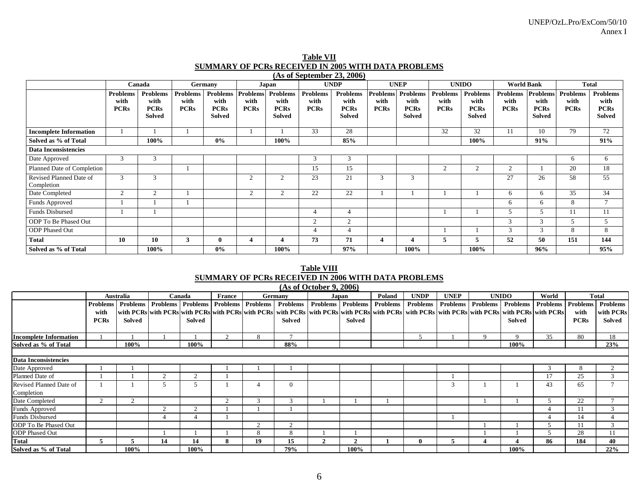|                                       |                                 | Canada                                                  |                                        | Germany                                                 |                                        | Japan                                                   |                                        | <b>UNDP</b>                                             |                                 | <b>UNEP</b>                                      |                                        | <b>UNIDO</b>                              | <b>World Bank</b>                      |                                                         | <b>Total</b>                           |                                                         |
|---------------------------------------|---------------------------------|---------------------------------------------------------|----------------------------------------|---------------------------------------------------------|----------------------------------------|---------------------------------------------------------|----------------------------------------|---------------------------------------------------------|---------------------------------|--------------------------------------------------|----------------------------------------|-------------------------------------------|----------------------------------------|---------------------------------------------------------|----------------------------------------|---------------------------------------------------------|
|                                       | Problems<br>with<br><b>PCRs</b> | <b>Problems</b><br>with<br><b>PCRs</b><br><b>Solved</b> | <b>Problems</b><br>with<br><b>PCRs</b> | <b>Problems</b><br>with<br><b>PCRs</b><br><b>Solved</b> | <b>Problems</b><br>with<br><b>PCRs</b> | <b>Problems</b><br>with<br><b>PCRs</b><br><b>Solved</b> | <b>Problems</b><br>with<br><b>PCRs</b> | <b>Problems</b><br>with<br><b>PCRs</b><br><b>Solved</b> | Problems<br>with<br><b>PCRs</b> | Problems<br>with<br><b>PCRs</b><br><b>Solved</b> | <b>Problems</b><br>with<br><b>PCRs</b> | Problems<br>with<br><b>PCRs</b><br>Solved | <b>Problems</b><br>with<br><b>PCRs</b> | <b>Problems</b><br>with<br><b>PCRs</b><br><b>Solved</b> | <b>Problems</b><br>with<br><b>PCRs</b> | <b>Problems</b><br>with<br><b>PCRs</b><br><b>Solved</b> |
| <b>Incomplete Information</b>         |                                 |                                                         |                                        |                                                         |                                        |                                                         | 33                                     | 28                                                      |                                 |                                                  | 32                                     | 32                                        | 11                                     | 10                                                      | 79                                     | 72                                                      |
| Solved as % of Total                  |                                 | 100%                                                    |                                        | $0\%$                                                   |                                        | 100%                                                    |                                        | 85%                                                     |                                 |                                                  |                                        | 100%                                      |                                        | 91%                                                     |                                        | 91%                                                     |
| <b>Data Inconsistencies</b>           |                                 |                                                         |                                        |                                                         |                                        |                                                         |                                        |                                                         |                                 |                                                  |                                        |                                           |                                        |                                                         |                                        |                                                         |
| Date Approved                         | 3                               | 3                                                       |                                        |                                                         |                                        |                                                         | 3                                      | 3                                                       |                                 |                                                  |                                        |                                           |                                        |                                                         | 6                                      | 6                                                       |
| Planned Date of Completion            |                                 |                                                         |                                        |                                                         |                                        |                                                         | 15                                     | 15                                                      |                                 |                                                  | 2                                      | 2                                         | $\gamma$                               |                                                         | 20                                     | 18                                                      |
| Revised Planned Date of<br>Completion | 3                               | 3                                                       |                                        |                                                         | $\overline{2}$                         | $\overline{c}$                                          | 23                                     | 21                                                      | 3                               | 3                                                |                                        |                                           | 27                                     | 26                                                      | 58                                     | 55                                                      |
| Date Completed                        | $\Omega$                        | $\overline{2}$                                          |                                        |                                                         | 2                                      | 2                                                       | 22                                     | 22                                                      |                                 |                                                  |                                        |                                           | 6                                      | 6                                                       | 35                                     | 34                                                      |
| Funds Approved                        |                                 |                                                         |                                        |                                                         |                                        |                                                         |                                        |                                                         |                                 |                                                  |                                        |                                           | 6                                      | 6                                                       | 8                                      |                                                         |
| Funds Disbursed                       |                                 |                                                         |                                        |                                                         |                                        |                                                         | 4                                      | $\overline{4}$                                          |                                 |                                                  |                                        |                                           |                                        |                                                         | 11                                     |                                                         |
| ODP To Be Phased Out                  |                                 |                                                         |                                        |                                                         |                                        |                                                         | 2                                      | 2                                                       |                                 |                                                  |                                        |                                           | $\mathcal{R}$                          | $\mathcal{R}$                                           |                                        |                                                         |
| <b>ODP</b> Phased Out                 |                                 |                                                         |                                        |                                                         |                                        |                                                         | 4                                      | $\overline{4}$                                          |                                 |                                                  |                                        |                                           | 3                                      | 3                                                       | 8                                      | 8                                                       |
| <b>Total</b>                          | 10                              | 10                                                      | $\mathbf{3}$                           | $\bf{0}$                                                | 4                                      | 4                                                       | 73                                     | 71                                                      |                                 | 4                                                | 5                                      | 5                                         | 52                                     | 50                                                      | 151                                    | 144                                                     |
| Solved as % of Total                  |                                 | 100%                                                    |                                        | $0\%$                                                   |                                        | 100%                                                    |                                        | 97%                                                     |                                 | 100%                                             |                                        | 100%                                      |                                        | 96%                                                     |                                        | 95%                                                     |

#### **Table VII SUMMARY OF PCRs RECEIVED IN 2005 WITH DATA PROBLEMS (As of September 23, 2006)**

#### **Table VIIISUMMARY OF PCRs RECEIVED IN 2006 WITH DATA PROBLEMS**

| (As of October 9, 2006)       |                 |           |          |                                |               |          |                                                                                                                                                                                                                                |   |              |        |              |               |   |                                           |                          |             |                 |
|-------------------------------|-----------------|-----------|----------|--------------------------------|---------------|----------|--------------------------------------------------------------------------------------------------------------------------------------------------------------------------------------------------------------------------------|---|--------------|--------|--------------|---------------|---|-------------------------------------------|--------------------------|-------------|-----------------|
|                               |                 | Australia |          | Canada                         | <b>France</b> |          | Germany                                                                                                                                                                                                                        |   | Japan        | Poland | <b>UNDP</b>  | <b>UNEP</b>   |   | <b>UNIDO</b>                              | World                    |             | <b>Total</b>    |
|                               | <b>Problems</b> |           |          | Problems   Problems   Problems |               |          | <b>Problems   Problems   Problems   Problems   Problems   Problems  </b>                                                                                                                                                       |   |              |        |              |               |   | Problems   Problems   Problems   Problems | <b>Problems</b> Problems |             | <b>Problems</b> |
|                               | with            |           |          |                                |               |          | with PCRs with PCRs with PCRs with PCRs with PCRs with PCRs with PCRs with PCRs with PCRs with PCRs with PCRs with PCRs with PCRs with PCRs with PCRs with PCRs with PCRs with PCRs with PCRs with PCRs with PCRs with PCRs wi |   |              |        |              |               |   |                                           |                          | with        | with PCRs       |
|                               | <b>PCRs</b>     | Solved    |          | <b>Solved</b>                  |               |          | Solved                                                                                                                                                                                                                         |   | Solved       |        |              |               |   | Solved                                    |                          | <b>PCRs</b> | Solved          |
|                               |                 |           |          |                                |               |          |                                                                                                                                                                                                                                |   |              |        |              |               |   |                                           |                          |             |                 |
| <b>Incomplete Information</b> |                 |           |          |                                | $\bigcap$     | 8        |                                                                                                                                                                                                                                |   |              |        |              |               | 9 | $\mathbf Q$                               | 35                       | 80          | 18              |
| Solved as % of Total          |                 | 100%      |          | 100%                           |               |          | 88%                                                                                                                                                                                                                            |   |              |        |              |               |   | 100%                                      |                          |             | 23%             |
|                               |                 |           |          |                                |               |          |                                                                                                                                                                                                                                |   |              |        |              |               |   |                                           |                          |             |                 |
| <b>Data Inconsistencies</b>   |                 |           |          |                                |               |          |                                                                                                                                                                                                                                |   |              |        |              |               |   |                                           |                          |             |                 |
| Date Approved                 |                 |           |          |                                |               |          |                                                                                                                                                                                                                                |   |              |        |              |               |   |                                           |                          |             | ◠               |
| Planned Date of               |                 |           | 2        | 2                              |               |          |                                                                                                                                                                                                                                |   |              |        |              |               |   |                                           | 17                       | 25          | 3               |
| Revised Planned Date of       |                 |           | 5        |                                |               |          | $\Omega$                                                                                                                                                                                                                       |   |              |        |              | $\mathcal{R}$ |   |                                           | 43                       | 65          |                 |
| Completion                    |                 |           |          |                                |               |          |                                                                                                                                                                                                                                |   |              |        |              |               |   |                                           |                          |             |                 |
| Date Completed                | $\bigcap$       | $\Omega$  |          |                                | $\bigcap$     |          | 3                                                                                                                                                                                                                              |   |              |        |              |               |   |                                           |                          | 22          |                 |
| Funds Approved                |                 |           | $\gamma$ | $\sim$                         |               |          |                                                                                                                                                                                                                                |   |              |        |              |               |   |                                           |                          |             |                 |
| <b>Funds Disbursed</b>        |                 |           |          |                                |               |          |                                                                                                                                                                                                                                |   |              |        |              |               |   |                                           |                          | 14          |                 |
| ODP To Be Phased Out          |                 |           |          |                                |               | $\Omega$ | $\bigcap$                                                                                                                                                                                                                      |   |              |        |              |               |   |                                           |                          |             | $\mathcal{R}$   |
| <b>ODP</b> Phased Out         |                 |           |          |                                |               | 8        | 8                                                                                                                                                                                                                              |   |              |        |              |               |   |                                           |                          | 28          | 11              |
| <b>Total</b>                  | 5.              | э         | 14       | 14                             | 8             | 19       | 15                                                                                                                                                                                                                             | ∍ | <sup>-</sup> |        | $\mathbf{0}$ |               | 4 |                                           | 86                       | 184         | 40              |
| Solved as % of Total          |                 | 100%      |          | 100%                           |               |          | 79%                                                                                                                                                                                                                            |   | 100%         |        |              |               |   | $100\%$                                   |                          |             | 22%             |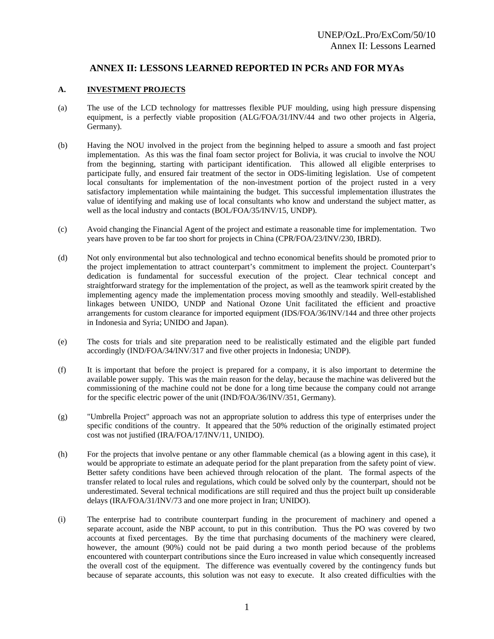#### **ANNEX II: LESSONS LEARNED REPORTED IN PCRs AND FOR MYAs**

#### **A. INVESTMENT PROJECTS**

- (a) The use of the LCD technology for mattresses flexible PUF moulding, using high pressure dispensing equipment, is a perfectly viable proposition (ALG/FOA/31/INV/44 and two other projects in Algeria, Germany).
- (b) Having the NOU involved in the project from the beginning helped to assure a smooth and fast project implementation. As this was the final foam sector project for Bolivia, it was crucial to involve the NOU from the beginning, starting with participant identification. This allowed all eligible enterprises to participate fully, and ensured fair treatment of the sector in ODS-limiting legislation. Use of competent local consultants for implementation of the non-investment portion of the project rusted in a very satisfactory implementation while maintaining the budget. This successful implementation illustrates the value of identifying and making use of local consultants who know and understand the subject matter, as well as the local industry and contacts (BOL/FOA/35/INV/15, UNDP).
- (c) Avoid changing the Financial Agent of the project and estimate a reasonable time for implementation. Two years have proven to be far too short for projects in China (CPR/FOA/23/INV/230, IBRD).
- (d) Not only environmental but also technological and techno economical benefits should be promoted prior to the project implementation to attract counterpart's commitment to implement the project. Counterpart's dedication is fundamental for successful execution of the project. Clear technical concept and straightforward strategy for the implementation of the project, as well as the teamwork spirit created by the implementing agency made the implementation process moving smoothly and steadily. Well-established linkages between UNIDO, UNDP and National Ozone Unit facilitated the efficient and proactive arrangements for custom clearance for imported equipment (IDS/FOA/36/INV/144 and three other projects in Indonesia and Syria; UNIDO and Japan).
- (e) The costs for trials and site preparation need to be realistically estimated and the eligible part funded accordingly (IND/FOA/34/INV/317 and five other projects in Indonesia; UNDP).
- (f) It is important that before the project is prepared for a company, it is also important to determine the available power supply. This was the main reason for the delay, because the machine was delivered but the commissioning of the machine could not be done for a long time because the company could not arrange for the specific electric power of the unit (IND/FOA/36/INV/351, Germany).
- (g) "Umbrella Project" approach was not an appropriate solution to address this type of enterprises under the specific conditions of the country. It appeared that the 50% reduction of the originally estimated project cost was not justified (IRA/FOA/17/INV/11, UNIDO).
- (h) For the projects that involve pentane or any other flammable chemical (as a blowing agent in this case), it would be appropriate to estimate an adequate period for the plant preparation from the safety point of view. Better safety conditions have been achieved through relocation of the plant. The formal aspects of the transfer related to local rules and regulations, which could be solved only by the counterpart, should not be underestimated. Several technical modifications are still required and thus the project built up considerable delays (IRA/FOA/31/INV/73 and one more project in Iran; UNIDO).
- (i) The enterprise had to contribute counterpart funding in the procurement of machinery and opened a separate account, aside the NBP account, to put in this contribution. Thus the PO was covered by two accounts at fixed percentages. By the time that purchasing documents of the machinery were cleared, however, the amount (90%) could not be paid during a two month period because of the problems encountered with counterpart contributions since the Euro increased in value which consequently increased the overall cost of the equipment. The difference was eventually covered by the contingency funds but because of separate accounts, this solution was not easy to execute. It also created difficulties with the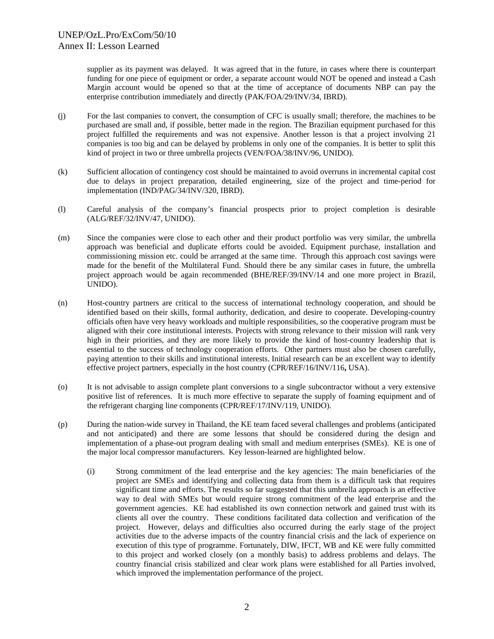supplier as its payment was delayed. It was agreed that in the future, in cases where there is counterpart funding for one piece of equipment or order, a separate account would NOT be opened and instead a Cash Margin account would be opened so that at the time of acceptance of documents NBP can pay the enterprise contribution immediately and directly (PAK/FOA/29/INV/34, IBRD).

- (j) For the last companies to convert, the consumption of CFC is usually small; therefore, the machines to be purchased are small and, if possible, better made in the region. The Brazilian equipment purchased for this project fulfilled the requirements and was not expensive. Another lesson is that a project involving 21 companies is too big and can be delayed by problems in only one of the companies. It is better to split this kind of project in two or three umbrella projects (VEN/FOA/38/INV/96, UNIDO).
- (k) Sufficient allocation of contingency cost should be maintained to avoid overruns in incremental capital cost due to delays in project preparation, detailed engineering, size of the project and time-period for implementation (IND/PAG/34/INV/320, IBRD).
- (l) Careful analysis of the company's financial prospects prior to project completion is desirable (ALG/REF/32/INV/47, UNIDO).
- (m) Since the companies were close to each other and their product portfolio was very similar, the umbrella approach was beneficial and duplicate efforts could be avoided. Equipment purchase, installation and commissioning mission etc. could be arranged at the same time. Through this approach cost savings were made for the benefit of the Multilateral Fund. Should there be any similar cases in future, the umbrella project approach would be again recommended (BHE/REF/39/INV/14 and one more project in Brazil, UNIDO).
- (n) Host-country partners are critical to the success of international technology cooperation, and should be identified based on their skills, formal authority, dedication, and desire to cooperate. Developing-country officials often have very heavy workloads and multiple responsibilities, so the cooperative program must be aligned with their core institutional interests. Projects with strong relevance to their mission will rank very high in their priorities, and they are more likely to provide the kind of host-country leadership that is essential to the success of technology cooperation efforts. Other partners must also be chosen carefully, paying attention to their skills and institutional interests. Initial research can be an excellent way to identify effective project partners, especially in the host country (CPR/REF/16/INV/116**,** USA).
- (o) It is not advisable to assign complete plant conversions to a single subcontractor without a very extensive positive list of references. It is much more effective to separate the supply of foaming equipment and of the refrigerant charging line components (CPR/REF/17/INV/119, UNIDO).
- (p) During the nation-wide survey in Thailand, the KE team faced several challenges and problems (anticipated and not anticipated) and there are some lessons that should be considered during the design and implementation of a phase-out program dealing with small and medium enterprises (SMEs). KE is one of the major local compressor manufacturers. Key lesson-learned are highlighted below.
	- (i) Strong commitment of the lead enterprise and the key agencies: The main beneficiaries of the project are SMEs and identifying and collecting data from them is a difficult task that requires significant time and efforts. The results so far suggested that this umbrella approach is an effective way to deal with SMEs but would require strong commitment of the lead enterprise and the government agencies. KE had established its own connection network and gained trust with its clients all over the country. These conditions facilitated data collection and verification of the project. However, delays and difficulties also occurred during the early stage of the project activities due to the adverse impacts of the country financial crisis and the lack of experience on execution of this type of programme. Fortunately, DIW, IFCT, WB and KE were fully committed to this project and worked closely (on a monthly basis) to address problems and delays. The country financial crisis stabilized and clear work plans were established for all Parties involved, which improved the implementation performance of the project.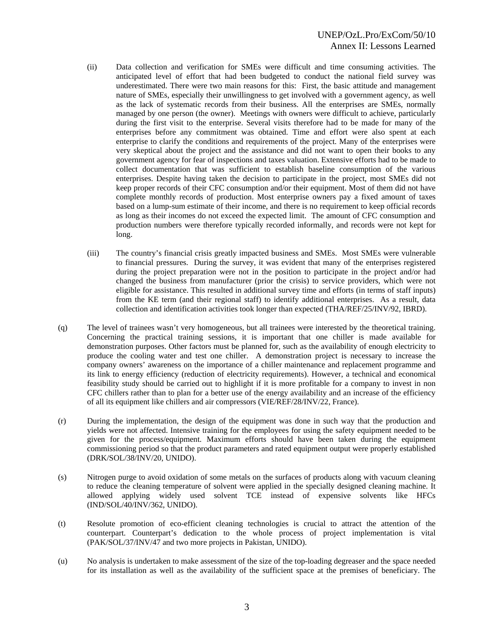#### UNEP/OzL.Pro/ExCom/50/10 Annex II: Lessons Learned

- (ii) Data collection and verification for SMEs were difficult and time consuming activities. The anticipated level of effort that had been budgeted to conduct the national field survey was underestimated. There were two main reasons for this: First, the basic attitude and management nature of SMEs, especially their unwillingness to get involved with a government agency, as well as the lack of systematic records from their business. All the enterprises are SMEs, normally managed by one person (the owner). Meetings with owners were difficult to achieve, particularly during the first visit to the enterprise. Several visits therefore had to be made for many of the enterprises before any commitment was obtained. Time and effort were also spent at each enterprise to clarify the conditions and requirements of the project. Many of the enterprises were very skeptical about the project and the assistance and did not want to open their books to any government agency for fear of inspections and taxes valuation. Extensive efforts had to be made to collect documentation that was sufficient to establish baseline consumption of the various enterprises. Despite having taken the decision to participate in the project, most SMEs did not keep proper records of their CFC consumption and/or their equipment. Most of them did not have complete monthly records of production. Most enterprise owners pay a fixed amount of taxes based on a lump-sum estimate of their income, and there is no requirement to keep official records as long as their incomes do not exceed the expected limit. The amount of CFC consumption and production numbers were therefore typically recorded informally, and records were not kept for long.
- (iii) The country's financial crisis greatly impacted business and SMEs. Most SMEs were vulnerable to financial pressures. During the survey, it was evident that many of the enterprises registered during the project preparation were not in the position to participate in the project and/or had changed the business from manufacturer (prior the crisis) to service providers, which were not eligible for assistance. This resulted in additional survey time and efforts (in terms of staff inputs) from the KE term (and their regional staff) to identify additional enterprises. As a result, data collection and identification activities took longer than expected (THA/REF/25/INV/92, IBRD).
- (q) The level of trainees wasn't very homogeneous, but all trainees were interested by the theoretical training. Concerning the practical training sessions, it is important that one chiller is made available for demonstration purposes. Other factors must be planned for, such as the availability of enough electricity to produce the cooling water and test one chiller. A demonstration project is necessary to increase the company owners' awareness on the importance of a chiller maintenance and replacement programme and its link to energy efficiency (reduction of electricity requirements). However, a technical and economical feasibility study should be carried out to highlight if it is more profitable for a company to invest in non CFC chillers rather than to plan for a better use of the energy availability and an increase of the efficiency of all its equipment like chillers and air compressors (VIE/REF/28/INV/22, France).
- (r) During the implementation, the design of the equipment was done in such way that the production and yields were not affected. Intensive training for the employees for using the safety equipment needed to be given for the process/equipment. Maximum efforts should have been taken during the equipment commissioning period so that the product parameters and rated equipment output were properly established (DRK/SOL/38/INV/20, UNIDO).
- (s) Nitrogen purge to avoid oxidation of some metals on the surfaces of products along with vacuum cleaning to reduce the cleaning temperature of solvent were applied in the specially designed cleaning machine. It allowed applying widely used solvent TCE instead of expensive solvents like HFCs (IND/SOL/40/INV/362, UNIDO).
- (t) Resolute promotion of eco-efficient cleaning technologies is crucial to attract the attention of the counterpart. Counterpart's dedication to the whole process of project implementation is vital (PAK/SOL/37/INV/47 and two more projects in Pakistan, UNIDO).
- (u) No analysis is undertaken to make assessment of the size of the top-loading degreaser and the space needed for its installation as well as the availability of the sufficient space at the premises of beneficiary. The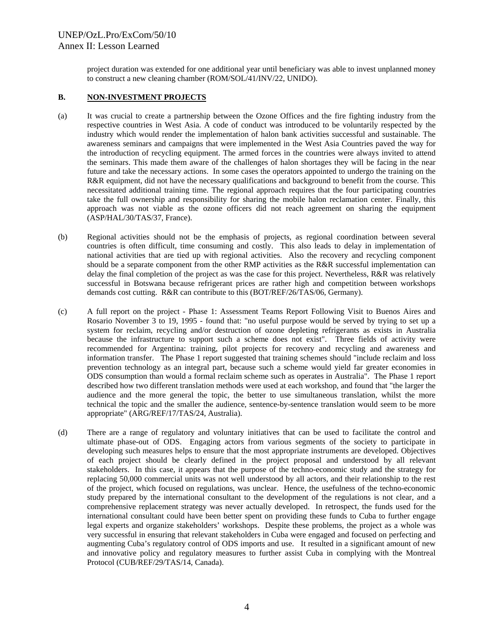project duration was extended for one additional year until beneficiary was able to invest unplanned money to construct a new cleaning chamber (ROM/SOL/41/INV/22, UNIDO).

#### **B. NON-INVESTMENT PROJECTS**

- (a) It was crucial to create a partnership between the Ozone Offices and the fire fighting industry from the respective countries in West Asia. A code of conduct was introduced to be voluntarily respected by the industry which would render the implementation of halon bank activities successful and sustainable. The awareness seminars and campaigns that were implemented in the West Asia Countries paved the way for the introduction of recycling equipment. The armed forces in the countries were always invited to attend the seminars. This made them aware of the challenges of halon shortages they will be facing in the near future and take the necessary actions. In some cases the operators appointed to undergo the training on the R&R equipment, did not have the necessary qualifications and background to benefit from the course. This necessitated additional training time. The regional approach requires that the four participating countries take the full ownership and responsibility for sharing the mobile halon reclamation center. Finally, this approach was not viable as the ozone officers did not reach agreement on sharing the equipment (ASP/HAL/30/TAS/37, France).
- (b) Regional activities should not be the emphasis of projects, as regional coordination between several countries is often difficult, time consuming and costly. This also leads to delay in implementation of national activities that are tied up with regional activities. Also the recovery and recycling component should be a separate component from the other RMP activities as the R&R successful implementation can delay the final completion of the project as was the case for this project. Nevertheless, R&R was relatively successful in Botswana because refrigerant prices are rather high and competition between workshops demands cost cutting. R&R can contribute to this (BOT/REF/26/TAS/06, Germany).
- (c) A full report on the project Phase 1: Assessment Teams Report Following Visit to Buenos Aires and Rosario November 3 to 19, 1995 - found that: "no useful purpose would be served by trying to set up a system for reclaim, recycling and/or destruction of ozone depleting refrigerants as exists in Australia because the infrastructure to support such a scheme does not exist". Three fields of activity were recommended for Argentina: training, pilot projects for recovery and recycling and awareness and information transfer. The Phase 1 report suggested that training schemes should "include reclaim and loss prevention technology as an integral part, because such a scheme would yield far greater economies in ODS consumption than would a formal reclaim scheme such as operates in Australia". The Phase 1 report described how two different translation methods were used at each workshop, and found that "the larger the audience and the more general the topic, the better to use simultaneous translation, whilst the more technical the topic and the smaller the audience, sentence-by-sentence translation would seem to be more appropriate" (ARG/REF/17/TAS/24, Australia).
- (d) There are a range of regulatory and voluntary initiatives that can be used to facilitate the control and ultimate phase-out of ODS. Engaging actors from various segments of the society to participate in developing such measures helps to ensure that the most appropriate instruments are developed. Objectives of each project should be clearly defined in the project proposal and understood by all relevant stakeholders. In this case, it appears that the purpose of the techno-economic study and the strategy for replacing 50,000 commercial units was not well understood by all actors, and their relationship to the rest of the project, which focused on regulations, was unclear. Hence, the usefulness of the techno-economic study prepared by the international consultant to the development of the regulations is not clear, and a comprehensive replacement strategy was never actually developed. In retrospect, the funds used for the international consultant could have been better spent on providing these funds to Cuba to further engage legal experts and organize stakeholders' workshops. Despite these problems, the project as a whole was very successful in ensuring that relevant stakeholders in Cuba were engaged and focused on perfecting and augmenting Cuba's regulatory control of ODS imports and use. It resulted in a significant amount of new and innovative policy and regulatory measures to further assist Cuba in complying with the Montreal Protocol (CUB/REF/29/TAS/14, Canada).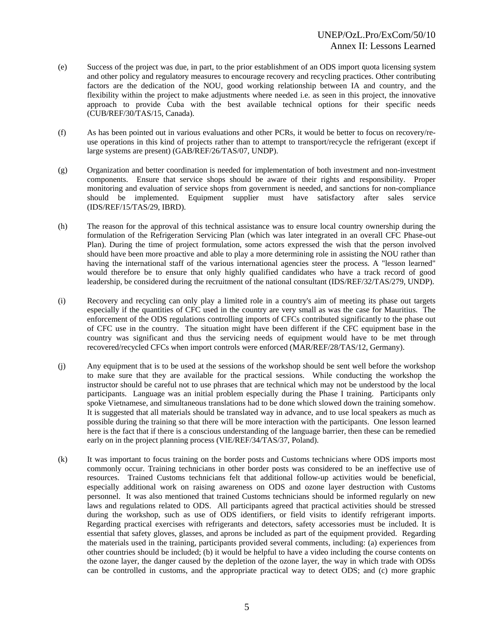- (e) Success of the project was due, in part, to the prior establishment of an ODS import quota licensing system and other policy and regulatory measures to encourage recovery and recycling practices. Other contributing factors are the dedication of the NOU, good working relationship between IA and country, and the flexibility within the project to make adjustments where needed i.e. as seen in this project, the innovative approach to provide Cuba with the best available technical options for their specific needs (CUB/REF/30/TAS/15, Canada).
- (f) As has been pointed out in various evaluations and other PCRs, it would be better to focus on recovery/reuse operations in this kind of projects rather than to attempt to transport/recycle the refrigerant (except if large systems are present) (GAB/REF/26/TAS/07, UNDP).
- (g) Organization and better coordination is needed for implementation of both investment and non-investment components. Ensure that service shops should be aware of their rights and responsibility. Proper monitoring and evaluation of service shops from government is needed, and sanctions for non-compliance should be implemented. Equipment supplier must have satisfactory after sales service (IDS/REF/15/TAS/29, IBRD).
- (h) The reason for the approval of this technical assistance was to ensure local country ownership during the formulation of the Refrigeration Servicing Plan (which was later integrated in an overall CFC Phase-out Plan). During the time of project formulation, some actors expressed the wish that the person involved should have been more proactive and able to play a more determining role in assisting the NOU rather than having the international staff of the various international agencies steer the process. A "lesson learned" would therefore be to ensure that only highly qualified candidates who have a track record of good leadership, be considered during the recruitment of the national consultant (IDS/REF/32/TAS/279, UNDP).
- (i) Recovery and recycling can only play a limited role in a country's aim of meeting its phase out targets especially if the quantities of CFC used in the country are very small as was the case for Mauritius. The enforcement of the ODS regulations controlling imports of CFCs contributed significantly to the phase out of CFC use in the country. The situation might have been different if the CFC equipment base in the country was significant and thus the servicing needs of equipment would have to be met through recovered/recycled CFCs when import controls were enforced (MAR/REF/28/TAS/12, Germany).
- (j) Any equipment that is to be used at the sessions of the workshop should be sent well before the workshop to make sure that they are available for the practical sessions. While conducting the workshop the instructor should be careful not to use phrases that are technical which may not be understood by the local participants. Language was an initial problem especially during the Phase I training. Participants only spoke Vietnamese, and simultaneous translations had to be done which slowed down the training somehow. It is suggested that all materials should be translated way in advance, and to use local speakers as much as possible during the training so that there will be more interaction with the participants. One lesson learned here is the fact that if there is a conscious understanding of the language barrier, then these can be remedied early on in the project planning process (VIE/REF/34/TAS/37, Poland).
- (k) It was important to focus training on the border posts and Customs technicians where ODS imports most commonly occur. Training technicians in other border posts was considered to be an ineffective use of resources. Trained Customs technicians felt that additional follow-up activities would be beneficial, especially additional work on raising awareness on ODS and ozone layer destruction with Customs personnel. It was also mentioned that trained Customs technicians should be informed regularly on new laws and regulations related to ODS. All participants agreed that practical activities should be stressed during the workshop, such as use of ODS identifiers, or field visits to identify refrigerant imports. Regarding practical exercises with refrigerants and detectors, safety accessories must be included. It is essential that safety gloves, glasses, and aprons be included as part of the equipment provided. Regarding the materials used in the training, participants provided several comments, including: (a) experiences from other countries should be included; (b) it would be helpful to have a video including the course contents on the ozone layer, the danger caused by the depletion of the ozone layer, the way in which trade with ODSs can be controlled in customs, and the appropriate practical way to detect ODS; and (c) more graphic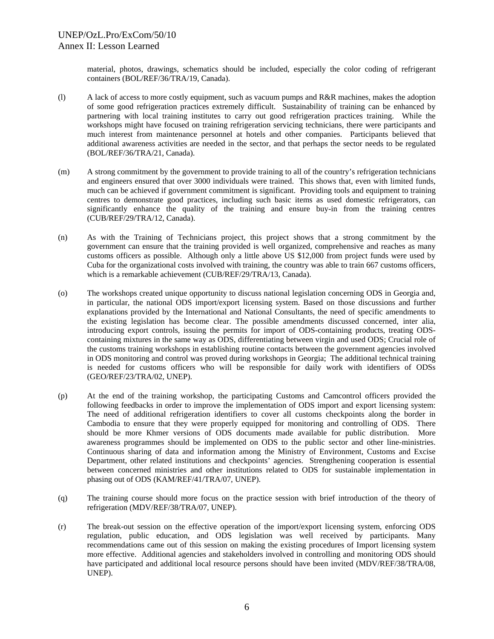material, photos, drawings, schematics should be included, especially the color coding of refrigerant containers (BOL/REF/36/TRA/19, Canada).

- (l) A lack of access to more costly equipment, such as vacuum pumps and R&R machines, makes the adoption of some good refrigeration practices extremely difficult. Sustainability of training can be enhanced by partnering with local training institutes to carry out good refrigeration practices training. While the workshops might have focused on training refrigeration servicing technicians, there were participants and much interest from maintenance personnel at hotels and other companies. Participants believed that additional awareness activities are needed in the sector, and that perhaps the sector needs to be regulated (BOL/REF/36/TRA/21, Canada).
- (m) A strong commitment by the government to provide training to all of the country's refrigeration technicians and engineers ensured that over 3000 individuals were trained. This shows that, even with limited funds, much can be achieved if government commitment is significant. Providing tools and equipment to training centres to demonstrate good practices, including such basic items as used domestic refrigerators, can significantly enhance the quality of the training and ensure buy-in from the training centres (CUB/REF/29/TRA/12, Canada).
- (n) As with the Training of Technicians project, this project shows that a strong commitment by the government can ensure that the training provided is well organized, comprehensive and reaches as many customs officers as possible. Although only a little above US \$12,000 from project funds were used by Cuba for the organizational costs involved with training, the country was able to train 667 customs officers, which is a remarkable achievement (CUB/REF/29/TRA/13, Canada).
- (o) The workshops created unique opportunity to discuss national legislation concerning ODS in Georgia and, in particular, the national ODS import/export licensing system. Based on those discussions and further explanations provided by the International and National Consultants, the need of specific amendments to the existing legislation has become clear. The possible amendments discussed concerned, inter alia, introducing export controls, issuing the permits for import of ODS-containing products, treating ODScontaining mixtures in the same way as ODS, differentiating between virgin and used ODS; Crucial role of the customs training workshops in establishing routine contacts between the government agencies involved in ODS monitoring and control was proved during workshops in Georgia; The additional technical training is needed for customs officers who will be responsible for daily work with identifiers of ODSs (GEO/REF/23/TRA/02, UNEP).
- (p) At the end of the training workshop, the participating Customs and Camcontrol officers provided the following feedbacks in order to improve the implementation of ODS import and export licensing system: The need of additional refrigeration identifiers to cover all customs checkpoints along the border in Cambodia to ensure that they were properly equipped for monitoring and controlling of ODS. There should be more Khmer versions of ODS documents made available for public distribution. More awareness programmes should be implemented on ODS to the public sector and other line-ministries. Continuous sharing of data and information among the Ministry of Environment, Customs and Excise Department, other related institutions and checkpoints' agencies. Strengthening cooperation is essential between concerned ministries and other institutions related to ODS for sustainable implementation in phasing out of ODS (KAM/REF/41/TRA/07, UNEP).
- (q) The training course should more focus on the practice session with brief introduction of the theory of refrigeration (MDV/REF/38/TRA/07, UNEP).
- (r) The break-out session on the effective operation of the import/export licensing system, enforcing ODS regulation, public education, and ODS legislation was well received by participants. Many recommendations came out of this session on making the existing procedures of Import licensing system more effective. Additional agencies and stakeholders involved in controlling and monitoring ODS should have participated and additional local resource persons should have been invited (MDV/REF/38/TRA/08, UNEP).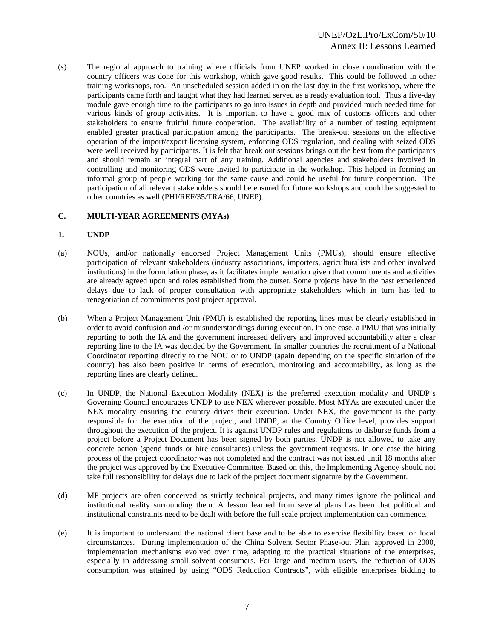(s) The regional approach to training where officials from UNEP worked in close coordination with the country officers was done for this workshop, which gave good results. This could be followed in other training workshops, too. An unscheduled session added in on the last day in the first workshop, where the participants came forth and taught what they had learned served as a ready evaluation tool. Thus a five-day module gave enough time to the participants to go into issues in depth and provided much needed time for various kinds of group activities. It is important to have a good mix of customs officers and other stakeholders to ensure fruitful future cooperation. The availability of a number of testing equipment enabled greater practical participation among the participants. The break-out sessions on the effective operation of the import/export licensing system, enforcing ODS regulation, and dealing with seized ODS were well received by participants. It is felt that break out sessions brings out the best from the participants and should remain an integral part of any training. Additional agencies and stakeholders involved in controlling and monitoring ODS were invited to participate in the workshop. This helped in forming an informal group of people working for the same cause and could be useful for future cooperation. The participation of all relevant stakeholders should be ensured for future workshops and could be suggested to other countries as well (PHI/REF/35/TRA/66, UNEP).

#### **C. MULTI-YEAR AGREEMENTS (MYAs)**

#### **1. UNDP**

- (a) NOUs, and/or nationally endorsed Project Management Units (PMUs), should ensure effective participation of relevant stakeholders (industry associations, importers, agriculturalists and other involved institutions) in the formulation phase, as it facilitates implementation given that commitments and activities are already agreed upon and roles established from the outset. Some projects have in the past experienced delays due to lack of proper consultation with appropriate stakeholders which in turn has led to renegotiation of commitments post project approval.
- (b) When a Project Management Unit (PMU) is established the reporting lines must be clearly established in order to avoid confusion and /or misunderstandings during execution. In one case, a PMU that was initially reporting to both the IA and the government increased delivery and improved accountability after a clear reporting line to the IA was decided by the Government. In smaller countries the recruitment of a National Coordinator reporting directly to the NOU or to UNDP (again depending on the specific situation of the country) has also been positive in terms of execution, monitoring and accountability, as long as the reporting lines are clearly defined.
- (c) In UNDP, the National Execution Modality (NEX) is the preferred execution modality and UNDP's Governing Council encourages UNDP to use NEX wherever possible. Most MYAs are executed under the NEX modality ensuring the country drives their execution. Under NEX, the government is the party responsible for the execution of the project, and UNDP, at the Country Office level, provides support throughout the execution of the project. It is against UNDP rules and regulations to disburse funds from a project before a Project Document has been signed by both parties. UNDP is not allowed to take any concrete action (spend funds or hire consultants) unless the government requests. In one case the hiring process of the project coordinator was not completed and the contract was not issued until 18 months after the project was approved by the Executive Committee. Based on this, the Implementing Agency should not take full responsibility for delays due to lack of the project document signature by the Government.
- (d) MP projects are often conceived as strictly technical projects, and many times ignore the political and institutional reality surrounding them. A lesson learned from several plans has been that political and institutional constraints need to be dealt with before the full scale project implementation can commence.
- (e) It is important to understand the national client base and to be able to exercise flexibility based on local circumstances. During implementation of the China Solvent Sector Phase-out Plan, approved in 2000, implementation mechanisms evolved over time, adapting to the practical situations of the enterprises, especially in addressing small solvent consumers. For large and medium users, the reduction of ODS consumption was attained by using "ODS Reduction Contracts", with eligible enterprises bidding to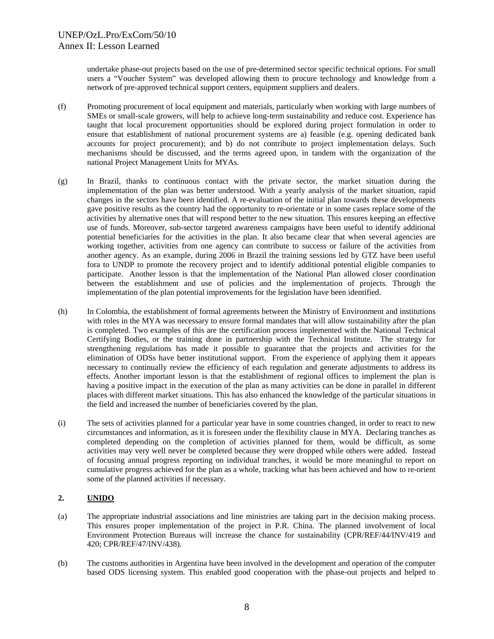undertake phase-out projects based on the use of pre-determined sector specific technical options. For small users a "Voucher System" was developed allowing them to procure technology and knowledge from a network of pre-approved technical support centers, equipment suppliers and dealers.

- (f) Promoting procurement of local equipment and materials, particularly when working with large numbers of SMEs or small-scale growers, will help to achieve long-term sustainability and reduce cost. Experience has taught that local procurement opportunities should be explored during project formulation in order to ensure that establishment of national procurement systems are a) feasible (e.g. opening dedicated bank accounts for project procurement); and b) do not contribute to project implementation delays. Such mechanisms should be discussed, and the terms agreed upon, in tandem with the organization of the national Project Management Units for MYAs.
- (g) In Brazil, thanks to continuous contact with the private sector, the market situation during the implementation of the plan was better understood. With a yearly analysis of the market situation, rapid changes in the sectors have been identified. A re-evaluation of the initial plan towards these developments gave positive results as the country had the opportunity to re-orientate or in some cases replace some of the activities by alternative ones that will respond better to the new situation. This ensures keeping an effective use of funds. Moreover, sub-sector targeted awareness campaigns have been useful to identify additional potential beneficiaries for the activities in the plan. It also became clear that when several agencies are working together, activities from one agency can contribute to success or failure of the activities from another agency. As an example, during 2006 in Brazil the training sessions led by GTZ have been useful fora to UNDP to promote the recovery project and to identify additional potential eligible companies to participate. Another lesson is that the implementation of the National Plan allowed closer coordination between the establishment and use of policies and the implementation of projects. Through the implementation of the plan potential improvements for the legislation have been identified.
- (h) In Colombia, the establishment of formal agreements between the Ministry of Environment and institutions with roles in the MYA was necessary to ensure formal mandates that will allow sustainability after the plan is completed. Two examples of this are the certification process implemented with the National Technical Certifying Bodies, or the training done in partnership with the Technical Institute. The strategy for strengthening regulations has made it possible to guarantee that the projects and activities for the elimination of ODSs have better institutional support. From the experience of applying them it appears necessary to continually review the efficiency of each regulation and generate adjustments to address its effects. Another important lesson is that the establishment of regional offices to implement the plan is having a positive impact in the execution of the plan as many activities can be done in parallel in different places with different market situations. This has also enhanced the knowledge of the particular situations in the field and increased the number of beneficiaries covered by the plan.
- (i) The sets of activities planned for a particular year have in some countries changed, in order to react to new circumstances and information, as it is foreseen under the flexibility clause in MYA. Declaring tranches as completed depending on the completion of activities planned for them, would be difficult, as some activities may very well never be completed because they were dropped while others were added. Instead of focusing annual progress reporting on individual tranches, it would be more meaningful to report on cumulative progress achieved for the plan as a whole, tracking what has been achieved and how to re-orient some of the planned activities if necessary.

#### **2. UNIDO**

- (a) The appropriate industrial associations and line ministries are taking part in the decision making process. This ensures proper implementation of the project in P.R. China. The planned involvement of local Environment Protection Bureaus will increase the chance for sustainability (CPR/REF/44/INV/419 and 420; CPR/REF/47/INV/438).
- (b) The customs authorities in Argentina have been involved in the development and operation of the computer based ODS licensing system. This enabled good cooperation with the phase-out projects and helped to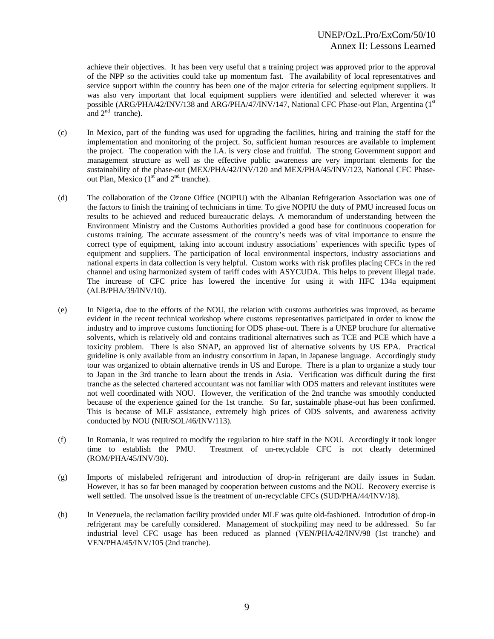achieve their objectives. It has been very useful that a training project was approved prior to the approval of the NPP so the activities could take up momentum fast. The availability of local representatives and service support within the country has been one of the major criteria for selecting equipment suppliers. It was also very important that local equipment suppliers were identified and selected wherever it was possible (ARG/PHA/42/INV/138 and ARG/PHA/47/INV/147, National CFC Phase-out Plan, Argentina (1<sup>st</sup>) and 2nd tranche**)**.

- (c) In Mexico, part of the funding was used for upgrading the facilities, hiring and training the staff for the implementation and monitoring of the project. So, sufficient human resources are available to implement the project. The cooperation with the I.A. is very close and fruitful. The strong Government support and management structure as well as the effective public awareness are very important elements for the sustainability of the phase-out (MEX/PHA/42/INV/120 and MEX/PHA/45/INV/123, National CFC Phaseout Plan, Mexico  $(1<sup>st</sup>$  and  $2<sup>nd</sup>$  tranche).
- (d) The collaboration of the Ozone Office (NOPIU) with the Albanian Refrigeration Association was one of the factors to finish the training of technicians in time. To give NOPIU the duty of PMU increased focus on results to be achieved and reduced bureaucratic delays. A memorandum of understanding between the Environment Ministry and the Customs Authorities provided a good base for continuous cooperation for customs training. The accurate assessment of the country's needs was of vital importance to ensure the correct type of equipment, taking into account industry associations' experiences with specific types of equipment and suppliers. The participation of local environmental inspectors, industry associations and national experts in data collection is very helpful. Custom works with risk profiles placing CFCs in the red channel and using harmonized system of tariff codes with ASYCUDA. This helps to prevent illegal trade. The increase of CFC price has lowered the incentive for using it with HFC 134a equipment (ALB/PHA/39/INV/10).
- (e) In Nigeria, due to the efforts of the NOU, the relation with customs authorities was improved, as became evident in the recent technical workshop where customs representatives participated in order to know the industry and to improve customs functioning for ODS phase-out. There is a UNEP brochure for alternative solvents, which is relatively old and contains traditional alternatives such as TCE and PCE which have a toxicity problem. There is also SNAP, an approved list of alternative solvents by US EPA. Practical guideline is only available from an industry consortium in Japan, in Japanese language. Accordingly study tour was organized to obtain alternative trends in US and Europe. There is a plan to organize a study tour to Japan in the 3rd tranche to learn about the trends in Asia. Verification was difficult during the first tranche as the selected chartered accountant was not familiar with ODS matters and relevant institutes were not well coordinated with NOU. However, the verification of the 2nd tranche was smoothly conducted because of the experience gained for the 1st tranche. So far, sustainable phase-out has been confirmed. This is because of MLF assistance, extremely high prices of ODS solvents, and awareness activity conducted by NOU (NIR/SOL/46/INV/113).
- (f) In Romania, it was required to modify the regulation to hire staff in the NOU. Accordingly it took longer time to establish the PMU. Treatment of un-recyclable CFC is not clearly determined (ROM/PHA/45/INV/30).
- (g) Imports of mislabeled refrigerant and introduction of drop-in refrigerant are daily issues in Sudan. However, it has so far been managed by cooperation between customs and the NOU. Recovery exercise is well settled. The unsolved issue is the treatment of un-recyclable CFCs (SUD/PHA/44/INV/18).
- (h) In Venezuela, the reclamation facility provided under MLF was quite old-fashioned. Introdution of drop-in refrigerant may be carefully considered. Management of stockpiling may need to be addressed. So far industrial level CFC usage has been reduced as planned (VEN/PHA/42/INV/98 (1st tranche) and VEN/PHA/45/INV/105 (2nd tranche).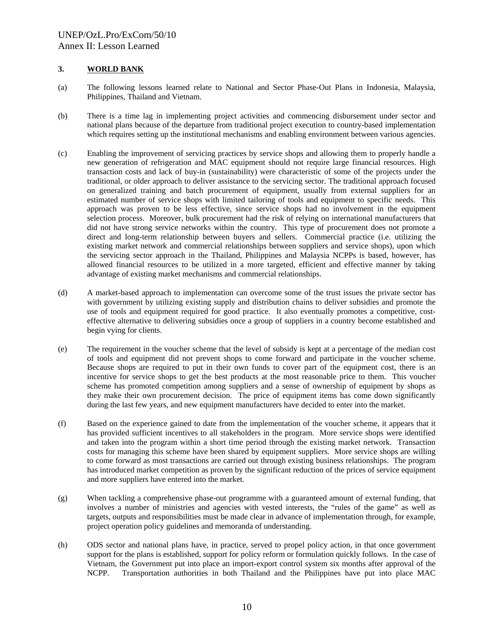#### **3. WORLD BANK**

- (a) The following lessons learned relate to National and Sector Phase-Out Plans in Indonesia, Malaysia, Philippines, Thailand and Vietnam.
- (b) There is a time lag in implementing project activities and commencing disbursement under sector and national plans because of the departure from traditional project execution to country-based implementation which requires setting up the institutional mechanisms and enabling environment between various agencies.
- (c) Enabling the improvement of servicing practices by service shops and allowing them to properly handle a new generation of refrigeration and MAC equipment should not require large financial resources. High transaction costs and lack of buy-in (sustainability) were characteristic of some of the projects under the traditional, or older approach to deliver assistance to the servicing sector. The traditional approach focused on generalized training and batch procurement of equipment, usually from external suppliers for an estimated number of service shops with limited tailoring of tools and equipment to specific needs. This approach was proven to be less effective, since service shops had no involvement in the equipment selection process. Moreover, bulk procurement had the risk of relying on international manufacturers that did not have strong service networks within the country. This type of procurement does not promote a direct and long-term relationship between buyers and sellers. Commercial practice (i.e. utilizing the existing market network and commercial relationships between suppliers and service shops), upon which the servicing sector approach in the Thailand, Philippines and Malaysia NCPPs is based, however, has allowed financial resources to be utilized in a more targeted, efficient and effective manner by taking advantage of existing market mechanisms and commercial relationships.
- (d) A market-based approach to implementation can overcome some of the trust issues the private sector has with government by utilizing existing supply and distribution chains to deliver subsidies and promote the use of tools and equipment required for good practice. It also eventually promotes a competitive, costeffective alternative to delivering subsidies once a group of suppliers in a country become established and begin vying for clients.
- (e) The requirement in the voucher scheme that the level of subsidy is kept at a percentage of the median cost of tools and equipment did not prevent shops to come forward and participate in the voucher scheme. Because shops are required to put in their own funds to cover part of the equipment cost, there is an incentive for service shops to get the best products at the most reasonable price to them. This voucher scheme has promoted competition among suppliers and a sense of ownership of equipment by shops as they make their own procurement decision. The price of equipment items has come down significantly during the last few years, and new equipment manufacturers have decided to enter into the market.
- (f) Based on the experience gained to date from the implementation of the voucher scheme, it appears that it has provided sufficient incentives to all stakeholders in the program. More service shops were identified and taken into the program within a short time period through the existing market network. Transaction costs for managing this scheme have been shared by equipment suppliers. More service shops are willing to come forward as most transactions are carried out through existing business relationships. The program has introduced market competition as proven by the significant reduction of the prices of service equipment and more suppliers have entered into the market.
- (g) When tackling a comprehensive phase-out programme with a guaranteed amount of external funding, that involves a number of ministries and agencies with vested interests, the "rules of the game" as well as targets, outputs and responsibilities must be made clear in advance of implementation through, for example, project operation policy guidelines and memoranda of understanding.
- (h) ODS sector and national plans have, in practice, served to propel policy action, in that once government support for the plans is established, support for policy reform or formulation quickly follows. In the case of Vietnam, the Government put into place an import-export control system six months after approval of the NCPP. Transportation authorities in both Thailand and the Philippines have put into place MAC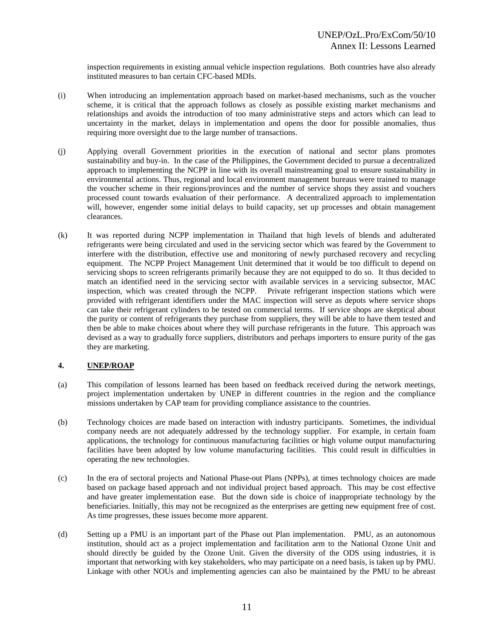inspection requirements in existing annual vehicle inspection regulations. Both countries have also already instituted measures to ban certain CFC-based MDIs.

- (i) When introducing an implementation approach based on market-based mechanisms, such as the voucher scheme, it is critical that the approach follows as closely as possible existing market mechanisms and relationships and avoids the introduction of too many administrative steps and actors which can lead to uncertainty in the market, delays in implementation and opens the door for possible anomalies, thus requiring more oversight due to the large number of transactions.
- (j) Applying overall Government priorities in the execution of national and sector plans promotes sustainability and buy-in. In the case of the Philippines, the Government decided to pursue a decentralized approach to implementing the NCPP in line with its overall mainstreaming goal to ensure sustainability in environmental actions. Thus, regional and local environment management bureaus were trained to manage the voucher scheme in their regions/provinces and the number of service shops they assist and vouchers processed count towards evaluation of their performance. A decentralized approach to implementation will, however, engender some initial delays to build capacity, set up processes and obtain management clearances.
- (k) It was reported during NCPP implementation in Thailand that high levels of blends and adulterated refrigerants were being circulated and used in the servicing sector which was feared by the Government to interfere with the distribution, effective use and monitoring of newly purchased recovery and recycling equipment. The NCPP Project Management Unit determined that it would be too difficult to depend on servicing shops to screen refrigerants primarily because they are not equipped to do so. It thus decided to match an identified need in the servicing sector with available services in a servicing subsector, MAC inspection, which was created through the NCPP. Private refrigerant inspection stations which were provided with refrigerant identifiers under the MAC inspection will serve as depots where service shops can take their refrigerant cylinders to be tested on commercial terms. If service shops are skeptical about the purity or content of refrigerants they purchase from suppliers, they will be able to have them tested and then be able to make choices about where they will purchase refrigerants in the future. This approach was devised as a way to gradually force suppliers, distributors and perhaps importers to ensure purity of the gas they are marketing.

#### **4. UNEP/ROAP**

- (a) This compilation of lessons learned has been based on feedback received during the network meetings, project implementation undertaken by UNEP in different countries in the region and the compliance missions undertaken by CAP team for providing compliance assistance to the countries.
- (b) Technology choices are made based on interaction with industry participants. Sometimes, the individual company needs are not adequately addressed by the technology supplier. For example, in certain foam applications, the technology for continuous manufacturing facilities or high volume output manufacturing facilities have been adopted by low volume manufacturing facilities. This could result in difficulties in operating the new technologies.
- (c) In the era of sectoral projects and National Phase-out Plans (NPPs), at times technology choices are made based on package based approach and not individual project based approach. This may be cost effective and have greater implementation ease. But the down side is choice of inappropriate technology by the beneficiaries. Initially, this may not be recognized as the enterprises are getting new equipment free of cost. As time progresses, these issues become more apparent.
- (d) Setting up a PMU is an important part of the Phase out Plan implementation. PMU, as an autonomous institution, should act as a project implementation and facilitation arm to the National Ozone Unit and should directly be guided by the Ozone Unit. Given the diversity of the ODS using industries, it is important that networking with key stakeholders, who may participate on a need basis, is taken up by PMU. Linkage with other NOUs and implementing agencies can also be maintained by the PMU to be abreast